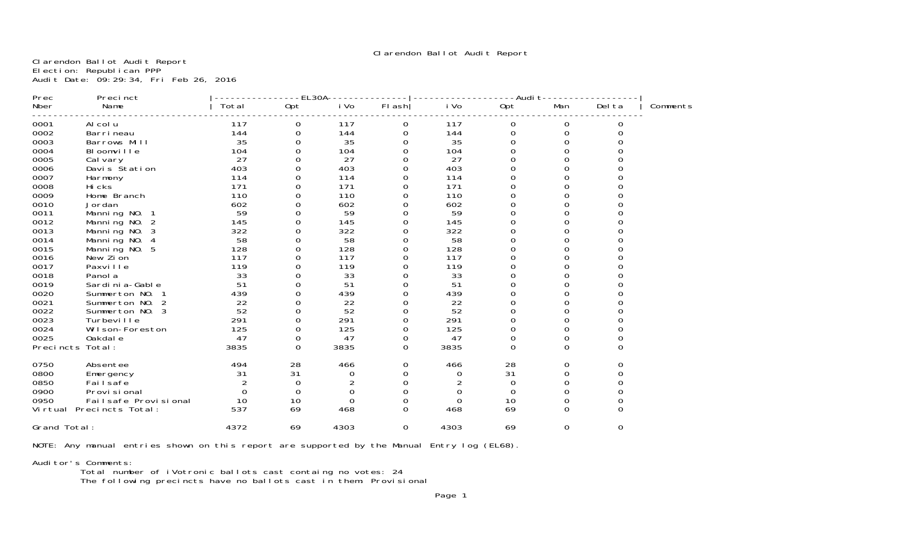Clarendon Ballot Audit Report

Clarendon Ballot Audit Report Election: Republican PPP Audit Date: 09:29:34, Fri Feb 26, 2016

| Precinct<br>Prec             |       | EL30A    |          |          |      | -Audit   |          |              |          |
|------------------------------|-------|----------|----------|----------|------|----------|----------|--------------|----------|
| Name<br>Nber                 | Total | Opt      | i Vo     | $FI$ ash | i Vo | Opt      | Man      | Del ta       | Comments |
| 0001<br>Al col u             | 117   | 0        | 117      | 0        | 117  | 0        | 0        | 0            |          |
| 0002<br>Barri neau           | 144   | 0        | 144      | 0        | 144  | 0        | 0        | $\Omega$     |          |
| 0003<br>Barrows Mill         | 35    | 0        | 35       | 0        | 35   | 0        | 0        |              |          |
| 0004<br>Bloomville           | 104   | ი        | 104      | 0        | 104  | 0        | $\Omega$ |              |          |
| 0005<br>Cal vary             | 27    |          | 27       |          | 27   |          |          |              |          |
| 0006<br>Davis Station        | 403   | ი        | 403      | O        | 403  |          |          |              |          |
| 0007<br>Harmony              | 114   |          | 114      |          | 114  |          |          |              |          |
| 0008<br>Hi cks               | 171   |          | 171      | O        | 171  |          |          |              |          |
| 0009<br>Home Branch          | 110   |          | 110      |          | 110  |          |          |              |          |
| 0010<br>Jordan               | 602   |          | 602      |          | 602  |          |          |              |          |
| 0011<br>Manning NO.          | 59    |          | 59       |          | 59   |          |          |              |          |
| 0012<br>Manning NO.<br>2     | 145   |          | 145      |          | 145  |          |          |              |          |
| 0013<br>Manning NO.<br>3     | 322   |          | 322      |          | 322  |          |          |              |          |
| 0014<br>Manning NO.          | 58    |          | 58       |          | 58   |          |          |              |          |
| 0015<br>Manning NO.<br>5     | 128   | O        | 128      |          | 128  |          |          |              |          |
| 0016<br>New Zion             | 117   | 0        | 117      | O        | 117  |          |          |              |          |
| 0017<br>Paxville             | 119   | 0        | 119      | ∩        | 119  |          |          |              |          |
| 0018<br>Panol a              | 33    | 0        | 33       | Ω        | 33   |          |          |              |          |
| 0019<br>Sardi ni a-Gabl e    | 51    | 0        | 51       | O        | 51   |          |          |              |          |
| 0020<br>Summerton NO.        | 439   | 0        | 439      | Ω        | 439  |          |          |              |          |
| 0021<br>Summerton NO.<br>2   | 22    | 0        | 22       | Ω        | 22   |          |          |              |          |
| 0022<br>Summerton NO. 3      | 52    | 0        | 52       | Ω        | 52   |          | U        |              |          |
| 0023<br>Turbevi I I e        | 291   | 0        | 291      | Ω        | 291  | 0        | O        |              |          |
| 0024<br>Wilson-Foreston      | 125   | 0        | 125      | 0        | 125  |          | O        |              |          |
| 0025<br>Oakdal e             | 47    | 0        | 47       | 0        | 47   | 0        | 0        |              |          |
| Precincts<br>Total:          | 3835  | $\Omega$ | 3835     | 0        | 3835 | $\Omega$ | $\Omega$ | $\Omega$     |          |
| 0750<br>Absentee             | 494   | 28       | 466      | 0        | 466  | 28       | 0        | <sup>o</sup> |          |
| 0800<br>Emergency            | 31    | 31       | O        |          | 0    | 31       | 0        |              |          |
| 0850<br>Failsafe             |       | 0        |          |          |      | 0        | 0        |              |          |
| 0900<br>Provi si onal        |       | $\Omega$ | 0        |          | O    | 0        | 0        |              |          |
| 0950<br>Failsafe Provisional | 10    | 10       | $\Omega$ |          | 0    | 10       | 0        |              |          |
| Virtual Precincts Total:     | 537   | 69       | 468      | 0        | 468  | 69       | 0        |              |          |
| Grand Total:                 | 4372  | 69       | 4303     | 0        | 4303 | 69       | $\Omega$ | $\Omega$     |          |

NOTE: Any manual entries shown on this report are supported by the Manual Entry log (EL68).

Auditor's Comments:

Total number of iVotronic ballots cast containg no votes: 24

The following precincts have no ballots cast in them: Provisional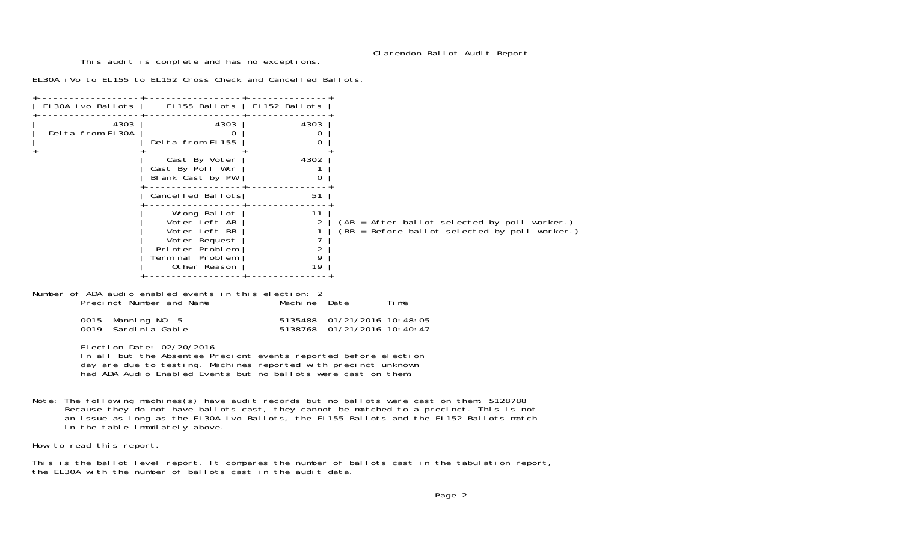# Clarendon Ballot Audit Report

This audit is complete and has no exceptions.

EL30A iVo to EL155 to EL152 Cross Check and Cancelled Ballots.

|                                                        | EL30A Ivo Ballots   EL155 Ballots   EL152 Ballots                                                                                                                                                                                  |                                                                          |                                                                                                 |
|--------------------------------------------------------|------------------------------------------------------------------------------------------------------------------------------------------------------------------------------------------------------------------------------------|--------------------------------------------------------------------------|-------------------------------------------------------------------------------------------------|
| 4303<br>Del ta from EL30A                              | 4303<br>0<br>Delta from EL155                                                                                                                                                                                                      | 4303<br>0<br>$\mathbf 0$                                                 |                                                                                                 |
|                                                        | Cast By Voter  <br>$\overline{Cast}$ By Poll Wkr $\mid$<br>Blank Cast by PW                                                                                                                                                        | 4302<br>$\mathbf 0$                                                      |                                                                                                 |
|                                                        | Cancelled Ballots                                                                                                                                                                                                                  | 51                                                                       |                                                                                                 |
|                                                        | Wrong Ballot<br>Voter Left AB<br>Voter Left BB<br>Voter Request<br>Printer Problem<br>Terminal Problem<br>Other Reason                                                                                                             | 11<br>$\overline{2}$<br>1<br>$\overline{7}$<br>$\overline{2}$<br>9<br>19 | (AB = After ballot selected by poll worker.)<br>$(BB = Before ballot selected by poll worker.)$ |
| Number of ADA audio enabled events in this election: 2 | Precinct Number and Name <b>Machine</b> Date Time                                                                                                                                                                                  |                                                                          |                                                                                                 |
|                                                        | 0015 Manning NO. 5 5 5135488 01/21/2016 10:48:05 0019 Sardinia-Gable 5 5138768 01/21/2016 10:40:47                                                                                                                                 |                                                                          |                                                                                                 |
|                                                        | Election Date: 02/20/2016<br>In all but the Absentee Precicnt events reported before election<br>day are due to testing. Machines reported with precinct unknown<br>had ADA Audio Enabled Events but no ballots were cast on them. |                                                                          |                                                                                                 |
|                                                        |                                                                                                                                                                                                                                    |                                                                          | Note: The following machines(s) have audit records but no ballots were cast on them: 5128788    |

 Because they do not have ballots cast, they cannot be matched to a precinct. This is not an issue as long as the EL30A Ivo Ballots, the EL155 Ballots and the EL152 Ballots match in the table immdiately above.

How to read this report.

This is the ballot level report. It compares the number of ballots cast in the tabulation report, the EL30A with the number of ballots cast in the audit data.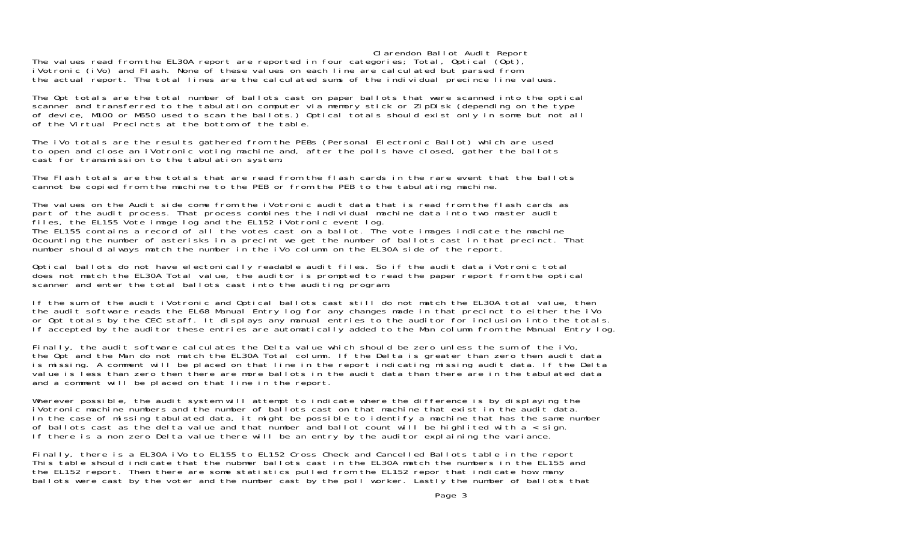Clarendon Ballot Audit Report

The values read from the EL30A report are reported in four categories; Total, Optical (Opt), iVotronic (iVo) and Flash. None of these values on each line are calculated but parsed from the actual report. The total lines are the calculated sums of the individual precince line values.

The Opt totals are the total number of ballots cast on paper ballots that were scanned into the optical scanner and transferred to the tabulation computer via memory stick or ZipDisk (depending on the type of device, M100 or M650 used to scan the ballots.) Optical totals should exist only in some but not all of the Virtual Precincts at the bottom of the table.

The iVo totals are the results gathered from the PEBs (Personal Electronic Ballot) which are used to open and close an iVotronic voting machine and, after the polls have closed, gather the ballots cast for transmission to the tabulation system.

The Flash totals are the totals that are read from the flash cards in the rare event that the ballots cannot be copied from the machine to the PEB or from the PEB to the tabulating machine.

The values on the Audit side come from the iVotronic audit data that is read from the flash cards as part of the audit process. That process combines the individual machine data into two master audit files, the EL155 Vote image log and the EL152 iVotronic event log. The EL155 contains a record of all the votes cast on a ballot. The vote images indicate the machine 0counting the number of asterisks in a precint we get the number of ballots cast in that precinct. That number should always match the number in the iVo column on the EL30A side of the report.

Optical ballots do not have electonically readable audit files. So if the audit data iVotronic total does not match the EL30A Total value, the auditor is prompted to read the paper report from the optical scanner and enter the total ballots cast into the auditing program.

If the sum of the audit iVotronic and Optical ballots cast still do not match the EL30A total value, then the audit software reads the EL68 Manual Entry log for any changes made in that precinct to either the iVo or Opt totals by the CEC staff. It displays any manual entries to the auditor for inclusion into the totals. If accepted by the auditor these entries are automatically added to the Man column from the Manual Entry log.

Finally, the audit software calculates the Delta value which should be zero unless the sum of the iVo, the Opt and the Man do not match the EL30A Total column. If the Delta is greater than zero then audit data is missing. A comment will be placed on that line in the report indicating missing audit data. If the Delta value is less than zero then there are more ballots in the audit data than there are in the tabulated data and a comment will be placed on that line in the report.

Wherever possible, the audit system will attempt to indicate where the difference is by displaying the iVotronic machine numbers and the number of ballots cast on that machine that exist in the audit data.In the case of missing tabulated data, it might be possible to identify a machine that has the same number of ballots cast as the delta value and that number and ballot count will be highlited with  $a <$  sign. If there is a non zero Delta value there will be an entry by the auditor explaining the variance.

Finally, there is a EL30A iVo to EL155 to EL152 Cross Check and Cancelled Ballots table in the report This table should indicate that the nubmer ballots cast in the EL30A match the numbers in the EL155 and the EL152 report. Then there are some statistics pulled from the EL152 repor that indicate how many ballots were cast by the voter and the number cast by the poll worker. Lastly the number of ballots that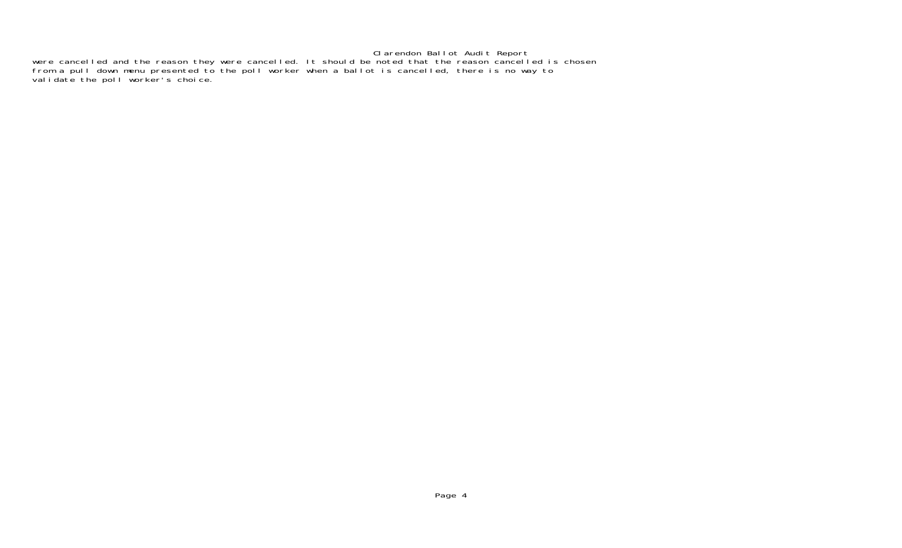Clarendon Ballot Audit Report were cancelled and the reason they were cancelled. It should be noted that the reason cancelled is chosen from a pull down menu presented to the poll worker when a ballot is cancelled, there is no way to validate the poll worker's choice.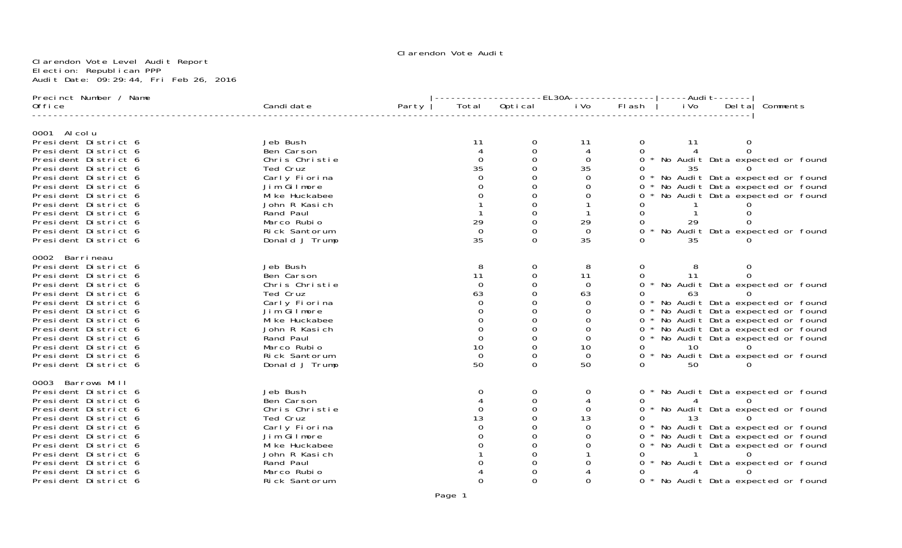Clarendon Vote Level Audit Report Election: Republican PPP Audit Date: 09:29:44, Fri Feb 26, 2016

| Total Optical<br>Candi date<br>Party<br>i Vo<br>FI ash<br>i Vo<br>Deltal Comments<br>0ffi ce<br>0001 Al col u<br>President District 6<br>Jeb Bush<br>-11<br>11<br>0<br>11<br>$\overline{0}$<br>$\Omega$<br>President District 6<br>Ben Carson<br>4<br>0<br>Chris Christie<br>$\Omega$<br>0<br>0<br>0 * No Audit Data expected or found<br>President District 6<br>35<br>35<br>Ted Cruz<br>President District 6<br>35<br>* No Audit Data expected or found<br>President District 6<br>Carly Fiorina<br>$\Omega$<br>$\Omega$<br>Jim Gilmore<br>* No Audit Data expected or found<br>President District 6<br>Ω<br>0<br>Mi ke Huckabee<br>No Audit Data expected or found<br>President District 6<br>$\Omega$<br>President District 6<br>John R Kasich<br>President District 6<br>Rand Paul<br>29<br>29<br>Marco Rubio<br>President District 6<br>29<br>* No Audit Data expected or found<br>President District 6<br>Rick Santorum<br>$\Omega$<br>$\Omega$<br>35<br>35<br>Donald J Trump<br>President District 6<br>0<br>35<br>0002 Barri neau<br>Jeb Bush<br>President District 6<br>8<br>8<br>0<br>0<br>Ben Carson<br>11<br>11<br>11<br>President District 6<br>0<br>0<br>* No Audit Data expected or found<br>President District 6<br>Chris Christie<br>$\mathbf 0$<br>0<br>0<br>President District 6<br>Ted Cruz<br>63<br>63<br>0<br>63<br>Carly Fiorina<br>* No Audit Data expected or found<br>President District 6<br>0<br>0<br>0<br>Jim Gilmore<br>O<br>$\Omega$<br>* No Audit Data expected or found<br>President District 6<br>0 * No Audit Data expected or found<br>President District 6<br>Mi ke Huckabee<br>O<br>President District 6<br>John R Kasich<br>0<br>* No Audit Data expected or found<br>0<br>Ω<br>$\overline{0}$<br>0<br>President District 6<br>Rand Paul<br>0<br>0<br>$\Omega$<br>* No Audit Data expected or found<br>Marco Rubio<br>10<br>President District 6<br>10<br>10<br>0<br>* No Audit Data expected or found<br>Rick Santorum<br>President District 6<br>$\Omega$<br>$\Omega$<br>0<br>50<br>50<br>President District 6<br>Donald J Trump<br>0<br>$\Omega$<br>50<br>0003 Barrows Mill<br>President District 6<br>Jeb Bush<br>0<br>0<br>* No Audit Data expected or found<br>$\overline{O}$<br>President District 6<br>Ben Carson<br>0<br>$\Omega$<br>* No Audit Data expected or found<br>President District 6<br>Chris Christie<br>0<br>0<br>$\Omega$<br>13<br>Ted Cruz<br>13<br>President District 6<br>13<br>0<br>* No Audit Data expected or found<br>Carly Fiorina<br>President District 6<br>0<br>$\Omega$<br>Jim Gilmore<br>* No Audit Data expected or found<br>President District 6<br>$\Omega$<br>* No Audit Data expected or found<br>President District 6<br>Mi ke Huckabee<br>0<br>$\Omega$<br>President District 6<br>John R Kasich<br>* No Audit Data expected or found<br>President District 6<br>Rand Paul<br>Marco Rubio<br>President District 6<br>* No Audit Data expected or found<br>President District 6<br>Rick Santorum<br>0<br>$\Omega$<br>O<br>Ω | Precinct Number / Name |  |  | -------------EL30A----------------- ----Audit------- |  |  |  |  |  |  |
|--------------------------------------------------------------------------------------------------------------------------------------------------------------------------------------------------------------------------------------------------------------------------------------------------------------------------------------------------------------------------------------------------------------------------------------------------------------------------------------------------------------------------------------------------------------------------------------------------------------------------------------------------------------------------------------------------------------------------------------------------------------------------------------------------------------------------------------------------------------------------------------------------------------------------------------------------------------------------------------------------------------------------------------------------------------------------------------------------------------------------------------------------------------------------------------------------------------------------------------------------------------------------------------------------------------------------------------------------------------------------------------------------------------------------------------------------------------------------------------------------------------------------------------------------------------------------------------------------------------------------------------------------------------------------------------------------------------------------------------------------------------------------------------------------------------------------------------------------------------------------------------------------------------------------------------------------------------------------------------------------------------------------------------------------------------------------------------------------------------------------------------------------------------------------------------------------------------------------------------------------------------------------------------------------------------------------------------------------------------------------------------------------------------------------------------------------------------------------------------------------------------------------------------------------------------------------------------------------------------------------------------------------------------------------------------------------------------------------------------------------------------------------------------------------------------------------------------------------------------------------------------------------------------------------------------------------------------------------------------------------------------|------------------------|--|--|------------------------------------------------------|--|--|--|--|--|--|
|                                                                                                                                                                                                                                                                                                                                                                                                                                                                                                                                                                                                                                                                                                                                                                                                                                                                                                                                                                                                                                                                                                                                                                                                                                                                                                                                                                                                                                                                                                                                                                                                                                                                                                                                                                                                                                                                                                                                                                                                                                                                                                                                                                                                                                                                                                                                                                                                                                                                                                                                                                                                                                                                                                                                                                                                                                                                                                                                                                                                              |                        |  |  |                                                      |  |  |  |  |  |  |
|                                                                                                                                                                                                                                                                                                                                                                                                                                                                                                                                                                                                                                                                                                                                                                                                                                                                                                                                                                                                                                                                                                                                                                                                                                                                                                                                                                                                                                                                                                                                                                                                                                                                                                                                                                                                                                                                                                                                                                                                                                                                                                                                                                                                                                                                                                                                                                                                                                                                                                                                                                                                                                                                                                                                                                                                                                                                                                                                                                                                              |                        |  |  |                                                      |  |  |  |  |  |  |
|                                                                                                                                                                                                                                                                                                                                                                                                                                                                                                                                                                                                                                                                                                                                                                                                                                                                                                                                                                                                                                                                                                                                                                                                                                                                                                                                                                                                                                                                                                                                                                                                                                                                                                                                                                                                                                                                                                                                                                                                                                                                                                                                                                                                                                                                                                                                                                                                                                                                                                                                                                                                                                                                                                                                                                                                                                                                                                                                                                                                              |                        |  |  |                                                      |  |  |  |  |  |  |
|                                                                                                                                                                                                                                                                                                                                                                                                                                                                                                                                                                                                                                                                                                                                                                                                                                                                                                                                                                                                                                                                                                                                                                                                                                                                                                                                                                                                                                                                                                                                                                                                                                                                                                                                                                                                                                                                                                                                                                                                                                                                                                                                                                                                                                                                                                                                                                                                                                                                                                                                                                                                                                                                                                                                                                                                                                                                                                                                                                                                              |                        |  |  |                                                      |  |  |  |  |  |  |
|                                                                                                                                                                                                                                                                                                                                                                                                                                                                                                                                                                                                                                                                                                                                                                                                                                                                                                                                                                                                                                                                                                                                                                                                                                                                                                                                                                                                                                                                                                                                                                                                                                                                                                                                                                                                                                                                                                                                                                                                                                                                                                                                                                                                                                                                                                                                                                                                                                                                                                                                                                                                                                                                                                                                                                                                                                                                                                                                                                                                              |                        |  |  |                                                      |  |  |  |  |  |  |
|                                                                                                                                                                                                                                                                                                                                                                                                                                                                                                                                                                                                                                                                                                                                                                                                                                                                                                                                                                                                                                                                                                                                                                                                                                                                                                                                                                                                                                                                                                                                                                                                                                                                                                                                                                                                                                                                                                                                                                                                                                                                                                                                                                                                                                                                                                                                                                                                                                                                                                                                                                                                                                                                                                                                                                                                                                                                                                                                                                                                              |                        |  |  |                                                      |  |  |  |  |  |  |
|                                                                                                                                                                                                                                                                                                                                                                                                                                                                                                                                                                                                                                                                                                                                                                                                                                                                                                                                                                                                                                                                                                                                                                                                                                                                                                                                                                                                                                                                                                                                                                                                                                                                                                                                                                                                                                                                                                                                                                                                                                                                                                                                                                                                                                                                                                                                                                                                                                                                                                                                                                                                                                                                                                                                                                                                                                                                                                                                                                                                              |                        |  |  |                                                      |  |  |  |  |  |  |
|                                                                                                                                                                                                                                                                                                                                                                                                                                                                                                                                                                                                                                                                                                                                                                                                                                                                                                                                                                                                                                                                                                                                                                                                                                                                                                                                                                                                                                                                                                                                                                                                                                                                                                                                                                                                                                                                                                                                                                                                                                                                                                                                                                                                                                                                                                                                                                                                                                                                                                                                                                                                                                                                                                                                                                                                                                                                                                                                                                                                              |                        |  |  |                                                      |  |  |  |  |  |  |
|                                                                                                                                                                                                                                                                                                                                                                                                                                                                                                                                                                                                                                                                                                                                                                                                                                                                                                                                                                                                                                                                                                                                                                                                                                                                                                                                                                                                                                                                                                                                                                                                                                                                                                                                                                                                                                                                                                                                                                                                                                                                                                                                                                                                                                                                                                                                                                                                                                                                                                                                                                                                                                                                                                                                                                                                                                                                                                                                                                                                              |                        |  |  |                                                      |  |  |  |  |  |  |
|                                                                                                                                                                                                                                                                                                                                                                                                                                                                                                                                                                                                                                                                                                                                                                                                                                                                                                                                                                                                                                                                                                                                                                                                                                                                                                                                                                                                                                                                                                                                                                                                                                                                                                                                                                                                                                                                                                                                                                                                                                                                                                                                                                                                                                                                                                                                                                                                                                                                                                                                                                                                                                                                                                                                                                                                                                                                                                                                                                                                              |                        |  |  |                                                      |  |  |  |  |  |  |
|                                                                                                                                                                                                                                                                                                                                                                                                                                                                                                                                                                                                                                                                                                                                                                                                                                                                                                                                                                                                                                                                                                                                                                                                                                                                                                                                                                                                                                                                                                                                                                                                                                                                                                                                                                                                                                                                                                                                                                                                                                                                                                                                                                                                                                                                                                                                                                                                                                                                                                                                                                                                                                                                                                                                                                                                                                                                                                                                                                                                              |                        |  |  |                                                      |  |  |  |  |  |  |
|                                                                                                                                                                                                                                                                                                                                                                                                                                                                                                                                                                                                                                                                                                                                                                                                                                                                                                                                                                                                                                                                                                                                                                                                                                                                                                                                                                                                                                                                                                                                                                                                                                                                                                                                                                                                                                                                                                                                                                                                                                                                                                                                                                                                                                                                                                                                                                                                                                                                                                                                                                                                                                                                                                                                                                                                                                                                                                                                                                                                              |                        |  |  |                                                      |  |  |  |  |  |  |
|                                                                                                                                                                                                                                                                                                                                                                                                                                                                                                                                                                                                                                                                                                                                                                                                                                                                                                                                                                                                                                                                                                                                                                                                                                                                                                                                                                                                                                                                                                                                                                                                                                                                                                                                                                                                                                                                                                                                                                                                                                                                                                                                                                                                                                                                                                                                                                                                                                                                                                                                                                                                                                                                                                                                                                                                                                                                                                                                                                                                              |                        |  |  |                                                      |  |  |  |  |  |  |
|                                                                                                                                                                                                                                                                                                                                                                                                                                                                                                                                                                                                                                                                                                                                                                                                                                                                                                                                                                                                                                                                                                                                                                                                                                                                                                                                                                                                                                                                                                                                                                                                                                                                                                                                                                                                                                                                                                                                                                                                                                                                                                                                                                                                                                                                                                                                                                                                                                                                                                                                                                                                                                                                                                                                                                                                                                                                                                                                                                                                              |                        |  |  |                                                      |  |  |  |  |  |  |
|                                                                                                                                                                                                                                                                                                                                                                                                                                                                                                                                                                                                                                                                                                                                                                                                                                                                                                                                                                                                                                                                                                                                                                                                                                                                                                                                                                                                                                                                                                                                                                                                                                                                                                                                                                                                                                                                                                                                                                                                                                                                                                                                                                                                                                                                                                                                                                                                                                                                                                                                                                                                                                                                                                                                                                                                                                                                                                                                                                                                              |                        |  |  |                                                      |  |  |  |  |  |  |
|                                                                                                                                                                                                                                                                                                                                                                                                                                                                                                                                                                                                                                                                                                                                                                                                                                                                                                                                                                                                                                                                                                                                                                                                                                                                                                                                                                                                                                                                                                                                                                                                                                                                                                                                                                                                                                                                                                                                                                                                                                                                                                                                                                                                                                                                                                                                                                                                                                                                                                                                                                                                                                                                                                                                                                                                                                                                                                                                                                                                              |                        |  |  |                                                      |  |  |  |  |  |  |
|                                                                                                                                                                                                                                                                                                                                                                                                                                                                                                                                                                                                                                                                                                                                                                                                                                                                                                                                                                                                                                                                                                                                                                                                                                                                                                                                                                                                                                                                                                                                                                                                                                                                                                                                                                                                                                                                                                                                                                                                                                                                                                                                                                                                                                                                                                                                                                                                                                                                                                                                                                                                                                                                                                                                                                                                                                                                                                                                                                                                              |                        |  |  |                                                      |  |  |  |  |  |  |
|                                                                                                                                                                                                                                                                                                                                                                                                                                                                                                                                                                                                                                                                                                                                                                                                                                                                                                                                                                                                                                                                                                                                                                                                                                                                                                                                                                                                                                                                                                                                                                                                                                                                                                                                                                                                                                                                                                                                                                                                                                                                                                                                                                                                                                                                                                                                                                                                                                                                                                                                                                                                                                                                                                                                                                                                                                                                                                                                                                                                              |                        |  |  |                                                      |  |  |  |  |  |  |
|                                                                                                                                                                                                                                                                                                                                                                                                                                                                                                                                                                                                                                                                                                                                                                                                                                                                                                                                                                                                                                                                                                                                                                                                                                                                                                                                                                                                                                                                                                                                                                                                                                                                                                                                                                                                                                                                                                                                                                                                                                                                                                                                                                                                                                                                                                                                                                                                                                                                                                                                                                                                                                                                                                                                                                                                                                                                                                                                                                                                              |                        |  |  |                                                      |  |  |  |  |  |  |
|                                                                                                                                                                                                                                                                                                                                                                                                                                                                                                                                                                                                                                                                                                                                                                                                                                                                                                                                                                                                                                                                                                                                                                                                                                                                                                                                                                                                                                                                                                                                                                                                                                                                                                                                                                                                                                                                                                                                                                                                                                                                                                                                                                                                                                                                                                                                                                                                                                                                                                                                                                                                                                                                                                                                                                                                                                                                                                                                                                                                              |                        |  |  |                                                      |  |  |  |  |  |  |
|                                                                                                                                                                                                                                                                                                                                                                                                                                                                                                                                                                                                                                                                                                                                                                                                                                                                                                                                                                                                                                                                                                                                                                                                                                                                                                                                                                                                                                                                                                                                                                                                                                                                                                                                                                                                                                                                                                                                                                                                                                                                                                                                                                                                                                                                                                                                                                                                                                                                                                                                                                                                                                                                                                                                                                                                                                                                                                                                                                                                              |                        |  |  |                                                      |  |  |  |  |  |  |
|                                                                                                                                                                                                                                                                                                                                                                                                                                                                                                                                                                                                                                                                                                                                                                                                                                                                                                                                                                                                                                                                                                                                                                                                                                                                                                                                                                                                                                                                                                                                                                                                                                                                                                                                                                                                                                                                                                                                                                                                                                                                                                                                                                                                                                                                                                                                                                                                                                                                                                                                                                                                                                                                                                                                                                                                                                                                                                                                                                                                              |                        |  |  |                                                      |  |  |  |  |  |  |
|                                                                                                                                                                                                                                                                                                                                                                                                                                                                                                                                                                                                                                                                                                                                                                                                                                                                                                                                                                                                                                                                                                                                                                                                                                                                                                                                                                                                                                                                                                                                                                                                                                                                                                                                                                                                                                                                                                                                                                                                                                                                                                                                                                                                                                                                                                                                                                                                                                                                                                                                                                                                                                                                                                                                                                                                                                                                                                                                                                                                              |                        |  |  |                                                      |  |  |  |  |  |  |
|                                                                                                                                                                                                                                                                                                                                                                                                                                                                                                                                                                                                                                                                                                                                                                                                                                                                                                                                                                                                                                                                                                                                                                                                                                                                                                                                                                                                                                                                                                                                                                                                                                                                                                                                                                                                                                                                                                                                                                                                                                                                                                                                                                                                                                                                                                                                                                                                                                                                                                                                                                                                                                                                                                                                                                                                                                                                                                                                                                                                              |                        |  |  |                                                      |  |  |  |  |  |  |
|                                                                                                                                                                                                                                                                                                                                                                                                                                                                                                                                                                                                                                                                                                                                                                                                                                                                                                                                                                                                                                                                                                                                                                                                                                                                                                                                                                                                                                                                                                                                                                                                                                                                                                                                                                                                                                                                                                                                                                                                                                                                                                                                                                                                                                                                                                                                                                                                                                                                                                                                                                                                                                                                                                                                                                                                                                                                                                                                                                                                              |                        |  |  |                                                      |  |  |  |  |  |  |
|                                                                                                                                                                                                                                                                                                                                                                                                                                                                                                                                                                                                                                                                                                                                                                                                                                                                                                                                                                                                                                                                                                                                                                                                                                                                                                                                                                                                                                                                                                                                                                                                                                                                                                                                                                                                                                                                                                                                                                                                                                                                                                                                                                                                                                                                                                                                                                                                                                                                                                                                                                                                                                                                                                                                                                                                                                                                                                                                                                                                              |                        |  |  |                                                      |  |  |  |  |  |  |
|                                                                                                                                                                                                                                                                                                                                                                                                                                                                                                                                                                                                                                                                                                                                                                                                                                                                                                                                                                                                                                                                                                                                                                                                                                                                                                                                                                                                                                                                                                                                                                                                                                                                                                                                                                                                                                                                                                                                                                                                                                                                                                                                                                                                                                                                                                                                                                                                                                                                                                                                                                                                                                                                                                                                                                                                                                                                                                                                                                                                              |                        |  |  |                                                      |  |  |  |  |  |  |
|                                                                                                                                                                                                                                                                                                                                                                                                                                                                                                                                                                                                                                                                                                                                                                                                                                                                                                                                                                                                                                                                                                                                                                                                                                                                                                                                                                                                                                                                                                                                                                                                                                                                                                                                                                                                                                                                                                                                                                                                                                                                                                                                                                                                                                                                                                                                                                                                                                                                                                                                                                                                                                                                                                                                                                                                                                                                                                                                                                                                              |                        |  |  |                                                      |  |  |  |  |  |  |
|                                                                                                                                                                                                                                                                                                                                                                                                                                                                                                                                                                                                                                                                                                                                                                                                                                                                                                                                                                                                                                                                                                                                                                                                                                                                                                                                                                                                                                                                                                                                                                                                                                                                                                                                                                                                                                                                                                                                                                                                                                                                                                                                                                                                                                                                                                                                                                                                                                                                                                                                                                                                                                                                                                                                                                                                                                                                                                                                                                                                              |                        |  |  |                                                      |  |  |  |  |  |  |
|                                                                                                                                                                                                                                                                                                                                                                                                                                                                                                                                                                                                                                                                                                                                                                                                                                                                                                                                                                                                                                                                                                                                                                                                                                                                                                                                                                                                                                                                                                                                                                                                                                                                                                                                                                                                                                                                                                                                                                                                                                                                                                                                                                                                                                                                                                                                                                                                                                                                                                                                                                                                                                                                                                                                                                                                                                                                                                                                                                                                              |                        |  |  |                                                      |  |  |  |  |  |  |
|                                                                                                                                                                                                                                                                                                                                                                                                                                                                                                                                                                                                                                                                                                                                                                                                                                                                                                                                                                                                                                                                                                                                                                                                                                                                                                                                                                                                                                                                                                                                                                                                                                                                                                                                                                                                                                                                                                                                                                                                                                                                                                                                                                                                                                                                                                                                                                                                                                                                                                                                                                                                                                                                                                                                                                                                                                                                                                                                                                                                              |                        |  |  |                                                      |  |  |  |  |  |  |
|                                                                                                                                                                                                                                                                                                                                                                                                                                                                                                                                                                                                                                                                                                                                                                                                                                                                                                                                                                                                                                                                                                                                                                                                                                                                                                                                                                                                                                                                                                                                                                                                                                                                                                                                                                                                                                                                                                                                                                                                                                                                                                                                                                                                                                                                                                                                                                                                                                                                                                                                                                                                                                                                                                                                                                                                                                                                                                                                                                                                              |                        |  |  |                                                      |  |  |  |  |  |  |
|                                                                                                                                                                                                                                                                                                                                                                                                                                                                                                                                                                                                                                                                                                                                                                                                                                                                                                                                                                                                                                                                                                                                                                                                                                                                                                                                                                                                                                                                                                                                                                                                                                                                                                                                                                                                                                                                                                                                                                                                                                                                                                                                                                                                                                                                                                                                                                                                                                                                                                                                                                                                                                                                                                                                                                                                                                                                                                                                                                                                              |                        |  |  |                                                      |  |  |  |  |  |  |
|                                                                                                                                                                                                                                                                                                                                                                                                                                                                                                                                                                                                                                                                                                                                                                                                                                                                                                                                                                                                                                                                                                                                                                                                                                                                                                                                                                                                                                                                                                                                                                                                                                                                                                                                                                                                                                                                                                                                                                                                                                                                                                                                                                                                                                                                                                                                                                                                                                                                                                                                                                                                                                                                                                                                                                                                                                                                                                                                                                                                              |                        |  |  |                                                      |  |  |  |  |  |  |
|                                                                                                                                                                                                                                                                                                                                                                                                                                                                                                                                                                                                                                                                                                                                                                                                                                                                                                                                                                                                                                                                                                                                                                                                                                                                                                                                                                                                                                                                                                                                                                                                                                                                                                                                                                                                                                                                                                                                                                                                                                                                                                                                                                                                                                                                                                                                                                                                                                                                                                                                                                                                                                                                                                                                                                                                                                                                                                                                                                                                              |                        |  |  |                                                      |  |  |  |  |  |  |
|                                                                                                                                                                                                                                                                                                                                                                                                                                                                                                                                                                                                                                                                                                                                                                                                                                                                                                                                                                                                                                                                                                                                                                                                                                                                                                                                                                                                                                                                                                                                                                                                                                                                                                                                                                                                                                                                                                                                                                                                                                                                                                                                                                                                                                                                                                                                                                                                                                                                                                                                                                                                                                                                                                                                                                                                                                                                                                                                                                                                              |                        |  |  |                                                      |  |  |  |  |  |  |
|                                                                                                                                                                                                                                                                                                                                                                                                                                                                                                                                                                                                                                                                                                                                                                                                                                                                                                                                                                                                                                                                                                                                                                                                                                                                                                                                                                                                                                                                                                                                                                                                                                                                                                                                                                                                                                                                                                                                                                                                                                                                                                                                                                                                                                                                                                                                                                                                                                                                                                                                                                                                                                                                                                                                                                                                                                                                                                                                                                                                              |                        |  |  |                                                      |  |  |  |  |  |  |
|                                                                                                                                                                                                                                                                                                                                                                                                                                                                                                                                                                                                                                                                                                                                                                                                                                                                                                                                                                                                                                                                                                                                                                                                                                                                                                                                                                                                                                                                                                                                                                                                                                                                                                                                                                                                                                                                                                                                                                                                                                                                                                                                                                                                                                                                                                                                                                                                                                                                                                                                                                                                                                                                                                                                                                                                                                                                                                                                                                                                              |                        |  |  |                                                      |  |  |  |  |  |  |
|                                                                                                                                                                                                                                                                                                                                                                                                                                                                                                                                                                                                                                                                                                                                                                                                                                                                                                                                                                                                                                                                                                                                                                                                                                                                                                                                                                                                                                                                                                                                                                                                                                                                                                                                                                                                                                                                                                                                                                                                                                                                                                                                                                                                                                                                                                                                                                                                                                                                                                                                                                                                                                                                                                                                                                                                                                                                                                                                                                                                              |                        |  |  |                                                      |  |  |  |  |  |  |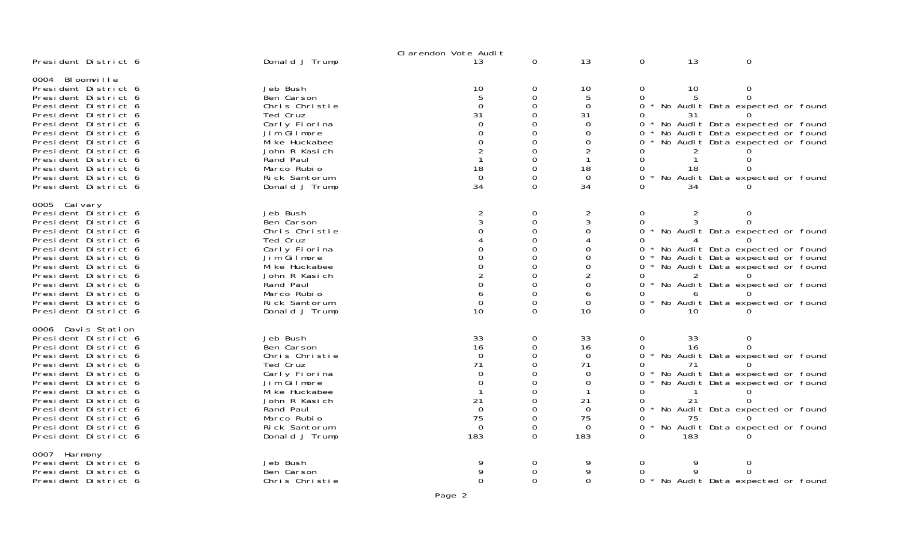|                                                                                                                                                                                                                                                                                                                    |                                                                                                                                                                                        | Clarendon Vote Audit                                                                      |                                                                        |                                                                                               |                                                          |                                   |                                                                                                                                                                                                                             |
|--------------------------------------------------------------------------------------------------------------------------------------------------------------------------------------------------------------------------------------------------------------------------------------------------------------------|----------------------------------------------------------------------------------------------------------------------------------------------------------------------------------------|-------------------------------------------------------------------------------------------|------------------------------------------------------------------------|-----------------------------------------------------------------------------------------------|----------------------------------------------------------|-----------------------------------|-----------------------------------------------------------------------------------------------------------------------------------------------------------------------------------------------------------------------------|
| President District 6                                                                                                                                                                                                                                                                                               | Donald J Trump                                                                                                                                                                         | 13                                                                                        | $\mathbf 0$                                                            | 13                                                                                            | 0                                                        | 13                                | $\mathbf 0$                                                                                                                                                                                                                 |
| 0004 Bloomville<br>President District 6<br>President District 6<br>President District 6<br>President District 6<br>President District 6<br>President District 6<br>President District 6<br>President District 6<br>President District 6<br>President District 6<br>President District 6<br>President District 6    | Jeb Bush<br>Ben Carson<br>Chris Christie<br>Ted Cruz<br>Carly Fiorina<br>Jim Gilmore<br>Mi ke Huckabee<br>John R Kasich<br>Rand Paul<br>Marco Rubio<br>Rick Santorum<br>Donald J Trump | 10<br>5<br>$\mathbf 0$<br>31<br>$\Omega$<br>0<br>0<br>2<br>18<br>$\Omega$<br>34           | 0<br>0<br>0<br>0<br>0<br>0<br>0<br>0<br>0<br>0<br>0<br>0               | 10<br>5<br>0<br>31<br>$\Omega$<br>0<br>0<br>2<br>18<br>$\Omega$<br>34                         | 0<br>0<br>0<br>0<br>0<br>0<br>0<br>0<br>0<br>0           | 10<br>5<br>31<br>18<br>34         | 0<br>$\Omega$<br>No Audit Data expected or found<br>* No Audit Data expected or found<br>* No Audit Data expected or found<br>No Audit Data expected or found<br>No Audit Data expected or found                            |
| 0005 Cal vary<br>President District 6<br>President District 6<br>President District 6<br>President District 6<br>President District 6<br>President District 6<br>President District 6<br>President District 6<br>President District 6<br>President District 6<br>President District 6<br>President District 6      | Jeb Bush<br>Ben Carson<br>Chris Christie<br>Ted Cruz<br>Carly Fiorina<br>Jim Gilmore<br>Mi ke Huckabee<br>John R Kasich<br>Rand Paul<br>Marco Rubio<br>Rick Santorum<br>Donald J Trump | $\overline{2}$<br>3<br>0<br>0<br>0<br>0<br>2<br>0<br>6<br>$\mathbf 0$<br>10               | 0<br>0<br>0<br>0<br>0<br>0<br>0<br>0<br>0<br>0<br>0<br>$\Omega$        | $\overline{2}$<br>3<br>0<br>4<br>0<br>0<br>0<br>$\overline{2}$<br>0<br>6<br>$\mathbf 0$<br>10 | 0<br>0<br>0<br>0<br>0<br>0<br>0<br>0<br>0                | 2<br>10                           | 0<br>* No Audit Data expected or found<br>* No Audit Data expected or found<br>* No Audit Data expected or found<br>No Audit Data expected or found<br>* No Audit Data expected or found<br>No Audit Data expected or found |
| 0006 Davis Station<br>President District 6<br>President District 6<br>President District 6<br>President District 6<br>President District 6<br>President District 6<br>President District 6<br>President District 6<br>President District 6<br>President District 6<br>President District 6<br>President District 6 | Jeb Bush<br>Ben Carson<br>Chris Christie<br>Ted Cruz<br>Carly Fiorina<br>Jim Gilmore<br>Mi ke Huckabee<br>John R Kasich<br>Rand Paul<br>Marco Rubio<br>Rick Santorum<br>Donald J Trump | 33<br>16<br>$\Omega$<br>71<br>$\Omega$<br>0<br>21<br>$\Omega$<br>75<br>$\mathbf 0$<br>183 | 0<br>0<br>0<br>$\Omega$<br>0<br>0<br>0<br>0<br>0<br>0<br>0<br>$\Omega$ | 33<br>16<br>$\Omega$<br>71<br>0<br>0<br>21<br>$\Omega$<br>75<br>$\mathbf 0$<br>183            | 0<br>0<br>0<br>0<br>0<br>0<br>U<br>0<br>0<br>O<br>0<br>0 | 33<br>16<br>71<br>21<br>75<br>183 | 0<br>No Audit Data expected or found<br>No Audit Data expected or found<br>No Audit Data expected or found<br>No Audit Data expected or found<br>No Audit Data expected or found                                            |
| 0007 Harmony<br>President District 6<br>President District 6<br>President District 6                                                                                                                                                                                                                               | Jeb Bush<br>Ben Carson<br>Chris Christie                                                                                                                                               | 9<br>$\Omega$                                                                             | 0<br>0<br>0                                                            | 9<br>$\Omega$                                                                                 | 0<br>0                                                   | 9<br>9                            | $\Omega$<br>$\Omega$<br>0 * No Audit Data expected or found                                                                                                                                                                 |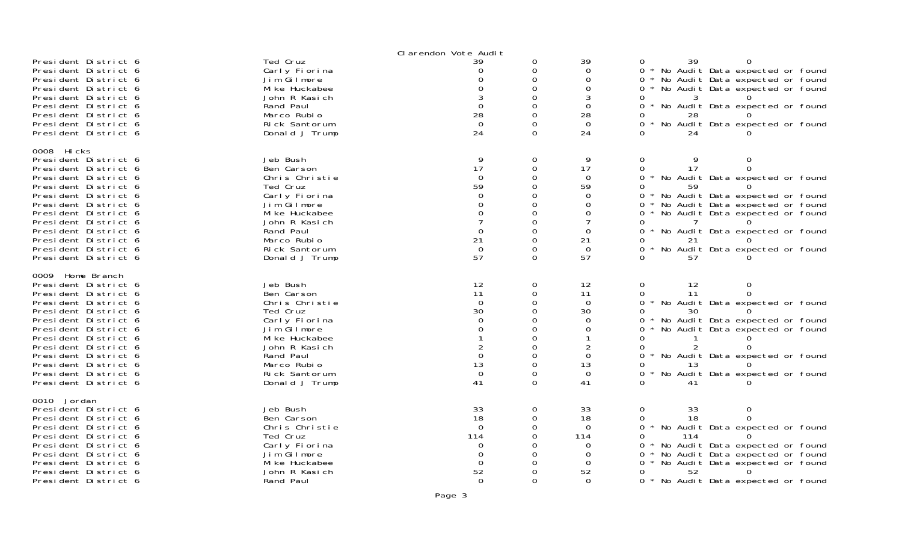|                                                                                                                                                                                                                                                                                                                  |                                                                                                                                                                                        | Clarendon Vote Audit                                                                      |                                                                                                    |                                                                                                                     |                                                                                                                                                                                                                                                                                                                            |
|------------------------------------------------------------------------------------------------------------------------------------------------------------------------------------------------------------------------------------------------------------------------------------------------------------------|----------------------------------------------------------------------------------------------------------------------------------------------------------------------------------------|-------------------------------------------------------------------------------------------|----------------------------------------------------------------------------------------------------|---------------------------------------------------------------------------------------------------------------------|----------------------------------------------------------------------------------------------------------------------------------------------------------------------------------------------------------------------------------------------------------------------------------------------------------------------------|
| President District 6<br>President District 6<br>President District 6<br>President District 6<br>President District 6<br>President District 6<br>President District 6<br>President District 6<br>President District 6                                                                                             | Ted Cruz<br>Carly Fiorina<br>Jim Gilmore<br>Mi ke Huckabee<br>John R Kasich<br>Rand Paul<br>Marco Rubio<br>Rick Santorum<br>Donald J Trump                                             | 39<br>Ω<br>O<br>O<br>$\Omega$<br>28<br>$\Omega$<br>24                                     | 0<br>0<br>0<br>$\Omega$<br>$\Omega$<br>$\Omega$<br>0<br>$\Omega$<br>$\Omega$                       | 39<br>$\Omega$<br>0<br>$\Omega$<br>3<br>$\Omega$<br>28<br>$\Omega$<br>24                                            | 39<br>0<br>$\Omega$<br>No Audit Data expected or found<br>0<br>No Audit Data expected or found<br>0<br>No Audit Data expected or found<br>0<br>3<br>0<br>No Audit Data expected or found<br>0<br>28<br>0<br>0<br>No Audit Data expected or found<br>24<br>0                                                                |
| 0008 Hicks<br>President District 6<br>President District 6<br>President District 6<br>President District 6<br>President District 6<br>President District 6<br>President District 6<br>President District 6<br>President District 6<br>President District 6<br>President District 6<br>President District 6       | Jeb Bush<br>Ben Carson<br>Chris Christie<br>Ted Cruz<br>Carly Fiorina<br>Jim Gilmore<br>Mi ke Huckabee<br>John R Kasich<br>Rand Paul<br>Marco Rubio<br>Rick Santorum<br>Donald J Trump | 9<br>17<br>$\Omega$<br>59<br>$\Omega$<br>0<br>0<br>0<br>21<br>$\mathbf 0$<br>57           | 0<br>0<br>0<br>0<br>0<br>0<br>0<br>$\Omega$<br>0<br>0<br>0<br>$\Omega$                             | 9<br>17<br>$\Omega$<br>59<br>$\Omega$<br>0<br>0<br>$\overline{7}$<br>$\Omega$<br>21<br>$\Omega$<br>57               | 0<br>9<br>0<br>17<br>0<br>$\Omega$<br>0<br>No Audit Data expected or found<br>59<br>0<br>* No Audit Data expected or found<br>0<br>No Audit Data expected or found<br>0<br>0<br>No Audit Data expected or found<br>0<br>0<br>No Audit Data expected or found<br>0<br>21<br>0<br>No Audit Data expected or found<br>0<br>57 |
| 0009 Home Branch<br>President District 6<br>President District 6<br>President District 6<br>President District 6<br>President District 6<br>President District 6<br>President District 6<br>President District 6<br>President District 6<br>President District 6<br>President District 6<br>President District 6 | Jeb Bush<br>Ben Carson<br>Chris Christie<br>Ted Cruz<br>Carly Fiorina<br>Jim Gilmore<br>Mi ke Huckabee<br>John R Kasich<br>Rand Paul<br>Marco Rubio<br>Rick Santorum<br>Donald J Trump | 12<br>11<br>$\Omega$<br>30<br>$\Omega$<br>$\Omega$<br>$\Omega$<br>13<br>$\mathbf 0$<br>41 | 0<br>$\Omega$<br>0<br>$\Omega$<br>0<br>$\Omega$<br>0<br>$\Omega$<br>0<br>$\Omega$<br>0<br>$\Omega$ | 12<br>11<br>$\Omega$<br>30<br>$\Omega$<br>$\Omega$<br>1<br>$\overline{c}$<br>$\Omega$<br>13<br>$\overline{0}$<br>41 | 0<br>12<br>$\Omega$<br>11<br>0<br>0<br>No Audit Data expected or found<br>30<br>0<br>No Audit Data expected or found<br>0<br>No Audit Data expected or found<br>0<br>0<br>0<br>0<br>No Audit Data expected or found<br>0<br>13<br>No Audit Data expected or found<br>0<br>0<br>41                                          |
| 0010 Jordan<br>President District 6<br>President District 6<br>President District 6<br>President District 6<br>President District 6<br>President District 6<br>President District 6<br>President District 6<br>President District 6                                                                              | Jeb Bush<br>Ben Carson<br>Chris Christie<br>Ted Cruz<br>Carly Fiorina<br>Jim Gilmore<br>Mi ke Huckabee<br>John R Kasich<br>Rand Paul                                                   | 33<br>18<br>$\Omega$<br>114<br>0<br>0<br>0<br>52<br>$\Omega$                              | 0<br>0<br>0<br>$\Omega$<br>O<br>0<br>0<br>0<br>$\Omega$                                            | 33<br>18<br>$\overline{0}$<br>114<br>0<br>$\Omega$<br>0<br>52<br>$\Omega$                                           | 0<br>33<br>0<br>18<br>0<br>0<br>No Audit Data expected or found<br>114<br>0<br>No Audit Data expected or found<br>0<br>No Audit Data expected or found<br>0<br>No Audit Data expected or found<br>0<br>52<br>0<br>0<br>$\star$<br>No Audit Data expected or found                                                          |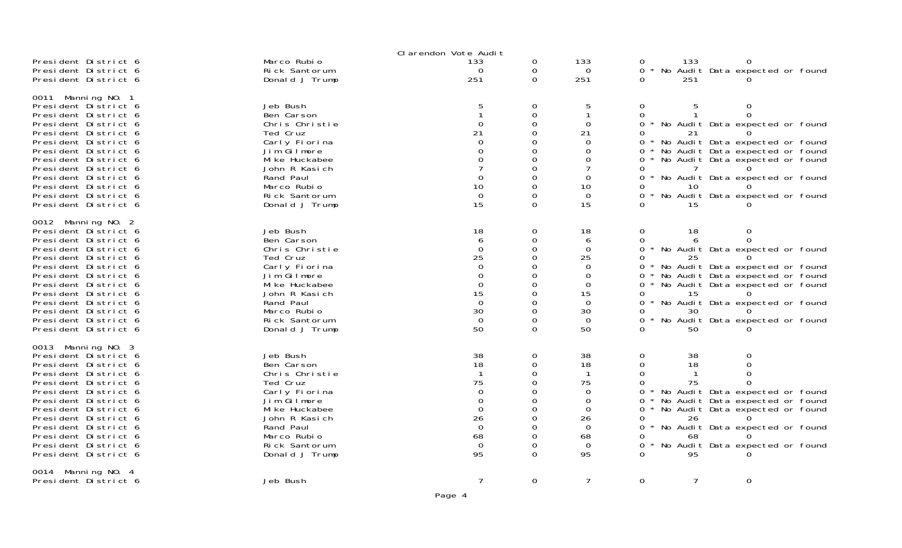|                                                                                                                                                                                                                                                                                                                    |                                                                                                                                                                                        | Clarendon Vote Audit                                                                                   |                                                                 |                                                                                                     |                                                                            |                                  |                                                                                                                                                                                                                                           |  |
|--------------------------------------------------------------------------------------------------------------------------------------------------------------------------------------------------------------------------------------------------------------------------------------------------------------------|----------------------------------------------------------------------------------------------------------------------------------------------------------------------------------------|--------------------------------------------------------------------------------------------------------|-----------------------------------------------------------------|-----------------------------------------------------------------------------------------------------|----------------------------------------------------------------------------|----------------------------------|-------------------------------------------------------------------------------------------------------------------------------------------------------------------------------------------------------------------------------------------|--|
| President District 6<br>President District 6<br>President District 6                                                                                                                                                                                                                                               | Marco Rubio<br>Rick Santorum<br>Donald J Trump                                                                                                                                         | 133<br>$\Omega$<br>251                                                                                 | 0<br>0<br>0                                                     | 133<br>$\Omega$<br>251                                                                              | 0<br>0<br>$\star$<br>0                                                     | 133<br>251                       | 0<br>No Audit Data expected or found                                                                                                                                                                                                      |  |
| 0011 Manning NO. 1<br>President District 6<br>President District 6<br>President District 6<br>President District 6<br>President District 6<br>President District 6<br>President District 6<br>President District 6<br>President District 6<br>President District 6<br>President District 6<br>President District 6 | Jeb Bush<br>Ben Carson<br>Chris Christie<br>Ted Cruz<br>Carly Fiorina<br>Jim Gilmore<br>Mi ke Huckabee<br>John R Kasich<br>Rand Paul<br>Marco Rubio<br>Rick Santorum<br>Donald J Trump | 5<br>$\Omega$<br>21<br>$\Omega$<br>0<br>0<br>7<br>0<br>10<br>$\Omega$<br>15                            | 0<br>0<br>0<br>0<br>0<br>0<br>0<br>0<br>0<br>0<br>0<br>0        | 5<br>1<br>$\Omega$<br>21<br>0<br>0<br>0<br>$\overline{7}$<br>$\Omega$<br>10<br>$\Omega$<br>15       | 0<br>0<br>0<br>0<br>0<br>0<br>0<br>0<br>0<br>0<br>0<br>0                   | 5<br>21<br>10<br>15              | 0<br>$\Omega$<br>* No Audit Data expected or found<br>* No Audit Data expected or found<br>* No Audit Data expected or found<br>No Audit Data expected or found<br>* No Audit Data expected or found<br>* No Audit Data expected or found |  |
| 0012 Manning NO. 2<br>President District 6<br>President District 6<br>President District 6<br>President District 6<br>President District 6<br>President District 6<br>President District 6<br>President District 6<br>President District 6<br>President District 6<br>President District 6<br>President District 6 | Jeb Bush<br>Ben Carson<br>Chris Christie<br>Ted Cruz<br>Carly Fiorina<br>Jim Gilmore<br>Mi ke Huckabee<br>John R Kasich<br>Rand Paul<br>Marco Rubio<br>Rick Santorum<br>Donald J Trump | 18<br>6<br>$\mathbf 0$<br>25<br>0<br>$\Omega$<br>$\Omega$<br>15<br>$\Omega$<br>30<br>$\mathbf 0$<br>50 | 0<br>0<br>0<br>0<br>0<br>0<br>0<br>0<br>0<br>0<br>0<br>$\Omega$ | 18<br>6<br>0<br>25<br>0<br>0<br>$\Omega$<br>15<br>$\Omega$<br>30<br>$\mathbf 0$<br>50               | 0<br>0<br>$\star$<br>0<br>0<br>0<br>0<br>0<br>0<br>0<br>0<br>0<br>0        | 18<br>25<br>15<br>30<br>50       | 0<br>$\Omega$<br>No Audit Data expected or found<br>* No Audit Data expected or found<br>* No Audit Data expected or found<br>No Audit Data expected or found<br>No Audit Data expected or found<br>No Audit Data expected or found       |  |
| 0013 Manning NO. 3<br>President District 6<br>President District 6<br>President District 6<br>President District 6<br>President District 6<br>President District 6<br>President District 6<br>President District 6<br>President District 6<br>President District 6<br>President District 6<br>President District 6 | Jeb Bush<br>Ben Carson<br>Chris Christie<br>Ted Cruz<br>Carly Fiorina<br>Jim Gilmore<br>Mi ke Huckabee<br>John R Kasich<br>Rand Paul<br>Marco Rubio<br>Rick Santorum<br>Donald J Trump | 38<br>18<br>-1<br>75<br>0<br>$\Omega$<br>$\Omega$<br>26<br>$\Omega$<br>68<br>$\mathbf 0$<br>95         | 0<br>0<br>0<br>0<br>0<br>0<br>0<br>0<br>0<br>0<br>0<br>$\Omega$ | 38<br>18<br>$\mathbf 1$<br>75<br>0<br>$\Omega$<br>0<br>26<br>$\mathbf 0$<br>68<br>$\mathbf 0$<br>95 | 0<br>$\Omega$<br>0<br>0<br>0<br>0<br>0<br>0<br>0<br>$\star$<br>0<br>0<br>0 | 38<br>18<br>75<br>26<br>68<br>95 | $\Omega$<br>0<br>No Audit Data expected or found<br>No Audit Data expected or found<br>No Audit Data expected or found<br>No Audit Data expected or found<br>No Audit Data expected or found                                              |  |
| 0014 Manning NO. 4<br>President District 6                                                                                                                                                                                                                                                                         | Jeb Bush                                                                                                                                                                               | $\overline{7}$                                                                                         | $\mathbf 0$                                                     | $\overline{7}$                                                                                      | $\overline{O}$                                                             | $\overline{7}$                   | $\mathbf 0$                                                                                                                                                                                                                               |  |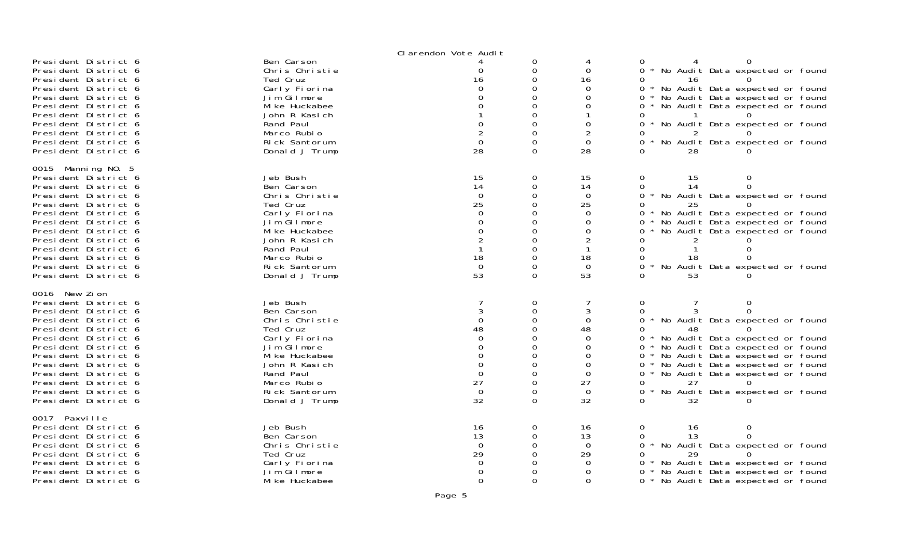|                                              | Clarendon Vote Audit            |                      |               |                   |                                                          |
|----------------------------------------------|---------------------------------|----------------------|---------------|-------------------|----------------------------------------------------------|
| President District 6                         | Ben Carson                      |                      | 0             | 4                 |                                                          |
| President District 6                         | Chris Christie                  | 0                    | 0             | $\overline{0}$    | * No Audit Data expected or found<br>$\Omega$            |
| President District 6<br>President District 6 | Ted Cruz<br>Carly Fiorina       | 16<br>$\Omega$       | 0<br>O        | 16<br>0           | 16<br>0<br>* No Audit Data expected or found<br>$\Omega$ |
| President District 6                         | Jim Gilmore                     | O                    | 0             | 0                 | * No Audit Data expected or found                        |
| President District 6                         | Mi ke Huckabee                  | 0                    | O             | 0                 | * No Audit Data expected or found                        |
| President District 6                         | John R Kasich                   |                      | 0             |                   |                                                          |
| President District 6                         | Rand Paul                       | $\Omega$             | $\Omega$      | 0                 | No Audit Data expected or found                          |
| President District 6                         | Marco Rubio                     | $\overline{2}$       | 0             | $\overline{2}$    | 2                                                        |
| President District 6                         | Rick Santorum                   | $\mathbf 0$          | 0             | $\overline{0}$    | No Audit Data expected or found                          |
| President District 6                         | Donald J Trump                  | 28                   | $\Omega$      | 28                | 28                                                       |
| 0015 Manning NO. 5                           |                                 |                      |               |                   |                                                          |
| President District 6                         | Jeb Bush                        | 15                   | 0             | 15                | 0<br>15<br>0                                             |
| President District 6                         | Ben Carson                      | 14                   | 0             | 14                | 14<br>$\Omega$                                           |
| President District 6                         | Chris Christie                  | $\mathbf 0$          | 0             | $\Omega$          | * No Audit Data expected or found                        |
| President District 6                         | Ted Cruz                        | 25                   | 0             | 25                | 25                                                       |
| President District 6                         | Carly Fiorina                   | 0                    | 0             | 0                 | * No Audit Data expected or found                        |
| President District 6                         | Jim Gilmore                     | 0                    | 0             | 0                 | * No Audit Data expected or found<br>0                   |
| President District 6                         | Mi ke Huckabee                  | $\Omega$             | 0             | 0                 | No Audit Data expected or found<br>0                     |
| President District 6<br>President District 6 | John R Kasich<br>Rand Paul      | $\overline{2}$       | 0<br>0        | 2<br>-1           | 0<br>$\Omega$                                            |
| President District 6                         | Marco Rubio                     | 18                   | $\Omega$      | 18                | 18                                                       |
| President District 6                         | Rick Santorum                   | $\overline{0}$       | 0             | $\mathbf 0$       | * No Audit Data expected or found<br>$\Omega$            |
| President District 6                         | Donald J Trump                  | 53                   | $\Omega$      | 53                | 53                                                       |
| 0016 New Zion                                |                                 |                      |               |                   |                                                          |
| President District 6                         | Jeb Bush                        |                      | 0             | 7                 | 0<br>$\Omega$                                            |
| President District 6                         | Ben Carson                      | 3                    | $\mathbf{O}$  | 3                 | $\Omega$<br>3<br>$\Omega$                                |
| President District 6                         | Chris Christie                  | $\mathbf 0$          | 0             | $\overline{0}$    | $\Omega$<br>* No Audit Data expected or found            |
| President District 6                         | Ted Cruz                        | 48                   | $\Omega$      | 48                | 48<br>0                                                  |
| President District 6                         | Carly Fiorina                   | $\Omega$             | 0             | $\Omega$          | * No Audit Data expected or found<br>$\Omega$            |
| President District 6                         | Jim Gilmore                     | $\Omega$             | $\Omega$      | $\Omega$          | 0 * No Audit Data expected or found                      |
| President District 6                         | Mi ke Huckabee                  | $\Omega$             | 0             | 0                 | 0 * No Audit Data expected or found                      |
| President District 6                         | John R Kasich                   | $\Omega$             | $\Omega$      | $\Omega$          | 0 * No Audit Data expected or found                      |
| President District 6                         | Rand Paul                       | $\Omega$             | 0             | 0                 | 0 * No Audit Data expected or found                      |
| President District 6<br>President District 6 | Marco Rubio                     | 27<br>$\overline{0}$ | 0             | 27<br>$\mathbf 0$ | 27<br>$\Omega$                                           |
| President District 6                         | Rick Santorum<br>Donald J Trump | 32                   | 0<br>$\Omega$ | 32                | * No Audit Data expected or found<br>$\Omega$<br>32      |
|                                              |                                 |                      |               |                   |                                                          |
| 0017 Paxville                                |                                 |                      |               |                   |                                                          |
| President District 6                         | Jeb Bush                        | 16                   | 0             | 16                | $\mathbf 0$<br>0<br>16                                   |
| President District 6                         | Ben Carson                      | 13                   | $\Omega$      | 13                | 13<br>$\Omega$<br>0                                      |
| President District 6<br>President District 6 | Chris Christie<br>Ted Cruz      | $\mathbf 0$<br>29    | 0<br>0        | $\Omega$<br>29    | * No Audit Data expected or found<br>$\Omega$<br>29<br>0 |
| President District 6                         | Carly Fiorina                   | 0                    | 0             | 0                 | * No Audit Data expected or found<br>0                   |
| President District 6                         | Jim Gilmore                     | 0                    | 0             | 0                 | * No Audit Data expected or found                        |
| President District 6                         | Mi ke Huckabee                  | $\mathbf{0}$         | $\Omega$      | $\Omega$          | $\Omega$<br>* No Audit Data expected or found            |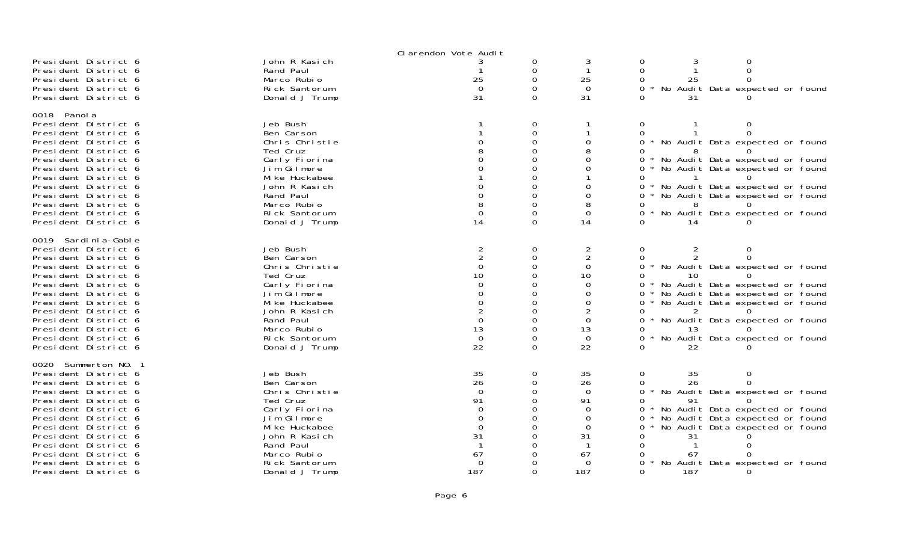|                       |                | Clarendon Vote Audit |          |                |                |     |                                     |  |
|-----------------------|----------------|----------------------|----------|----------------|----------------|-----|-------------------------------------|--|
| President District 6  | John R Kasich  |                      | 0        | 3              | 0              |     |                                     |  |
| President District 6  | Rand Paul      |                      | 0        | $\mathbf{1}$   | 0              |     |                                     |  |
| President District 6  | Marco Rubio    | 25                   | $\Omega$ | 25             | $\Omega$       | 25  |                                     |  |
| President District 6  | Rick Santorum  | $\Omega$             | $\Omega$ | $\Omega$       | $\Omega$       |     | No Audit Data expected or found     |  |
| President District 6  | Donald J Trump | 31                   | $\Omega$ | 31             |                | 31  |                                     |  |
|                       |                |                      |          |                |                |     |                                     |  |
| 0018 Panol a          |                |                      |          |                |                |     |                                     |  |
| President District 6  | Jeb Bush       |                      | 0        |                | $\Omega$       |     | 0                                   |  |
| President District 6  | Ben Carson     |                      | 0        |                | 0              |     |                                     |  |
| President District 6  | Chris Christie |                      | 0        | $\Omega$       |                |     | 0 * No Audit Data expected or found |  |
|                       |                |                      | $\Omega$ | 8              | 0              |     |                                     |  |
| President District 6  | Ted Cruz       |                      | $\Omega$ |                |                |     |                                     |  |
| President District 6  | Carly Fiorina  |                      |          | $\Omega$       | 0              |     | * No Audit Data expected or found   |  |
| President District 6  | Jim Gilmore    |                      | 0        | 0              | 0              |     | * No Audit Data expected or found   |  |
| President District 6  | Mi ke Huckabee |                      | 0        |                | 0              |     |                                     |  |
| President District 6  | John R Kasich  | O                    | 0        | 0              |                |     | 0 * No Audit Data expected or found |  |
| President District 6  | Rand Paul      | 0                    | 0        | 0              | 0 *            |     | No Audit Data expected or found     |  |
| President District 6  | Marco Rubio    | 8                    | 0        | 8              |                |     |                                     |  |
| President District 6  | Rick Santorum  | $\Omega$             | 0        | $\mathbf 0$    | 0              |     | No Audit Data expected or found     |  |
| President District 6  | Donald J Trump | 14                   | $\Omega$ | 14             | $\Omega$       | 14  |                                     |  |
|                       |                |                      |          |                |                |     |                                     |  |
| 0019 Sardi ni a-Gable |                |                      |          |                |                |     |                                     |  |
| President District 6  | Jeb Bush       | $\overline{2}$       | 0        | $\overline{2}$ | 0              | 2   |                                     |  |
| President District 6  | Ben Carson     |                      | 0        | $\overline{2}$ | 0              |     |                                     |  |
| President District 6  | Chris Christie | $\mathbf 0$          | 0        | 0              |                |     | 0 * No Audit Data expected or found |  |
| President District 6  | Ted Cruz       | 10                   | 0        | 10             | 0              |     |                                     |  |
| President District 6  | Carly Fiorina  | $\Omega$             | $\Omega$ | $\Omega$       |                |     | 0 * No Audit Data expected or found |  |
| President District 6  | Jim Gilmore    | $\Omega$             | $\Omega$ | 0              | 0              |     | * No Audit Data expected or found   |  |
| President District 6  | Mi ke Huckabee | $\Omega$             | $\Omega$ | 0              | 0              |     | * No Audit Data expected or found   |  |
| President District 6  | John R Kasich  | 2                    | 0        | $\overline{2}$ | 0              |     |                                     |  |
| President District 6  | Rand Paul      | $\Omega$             | $\Omega$ | $\mathbf 0$    | 0              |     | * No Audit Data expected or found   |  |
| President District 6  | Marco Rubio    | 13                   | 0        | 13             | 0              | 13  |                                     |  |
|                       |                |                      |          |                |                |     |                                     |  |
| President District 6  | Rick Santorum  | $\mathbf 0$          | 0        | $\Omega$       | 0              |     | No Audit Data expected or found     |  |
| President District 6  | Donald J Trump | 22                   | $\Omega$ | 22             | ∩.             | 22  |                                     |  |
| 0020 Summerton NO. 1  |                |                      |          |                |                |     |                                     |  |
| President District 6  | Jeb Bush       | 35                   | 0        | 35             | $\mathbf 0$    | 35  | $\Omega$                            |  |
| President District 6  | Ben Carson     | 26                   |          | 26             |                |     |                                     |  |
|                       |                |                      | 0        |                | 0              | 26  |                                     |  |
| President District 6  | Chris Christie | $\Omega$             | 0        | $\Omega$       | $0 *$          |     | No Audit Data expected or found     |  |
| President District 6  | Ted Cruz       | 91                   | $\Omega$ | 91             | 0              | 91  |                                     |  |
| President District 6  | Carly Fiorina  | $\Omega$             | 0        | $\Omega$       | $\overline{O}$ |     | * No Audit Data expected or found   |  |
| President District 6  | Jim Gilmore    | 0                    | 0        | $\mathbf 0$    | 0              |     | No Audit Data expected or found     |  |
| President District 6  | Mi ke Huckabee | $\Omega$             | 0        | $\Omega$       | 0              |     | No Audit Data expected or found     |  |
| President District 6  | John R Kasich  | 31                   | O        | 31             |                | 31  |                                     |  |
| President District 6  | Rand Paul      |                      | $\Omega$ |                |                |     |                                     |  |
| President District 6  | Marco Rubio    | 67                   | 0        | 67             |                | 67  |                                     |  |
| President District 6  | Rick Santorum  | $\Omega$             | 0        | 0              | $\Omega$       |     | No Audit Data expected or found     |  |
| President District 6  | Donald J Trump | 187                  | $\Omega$ | 187            | $\Omega$       | 187 |                                     |  |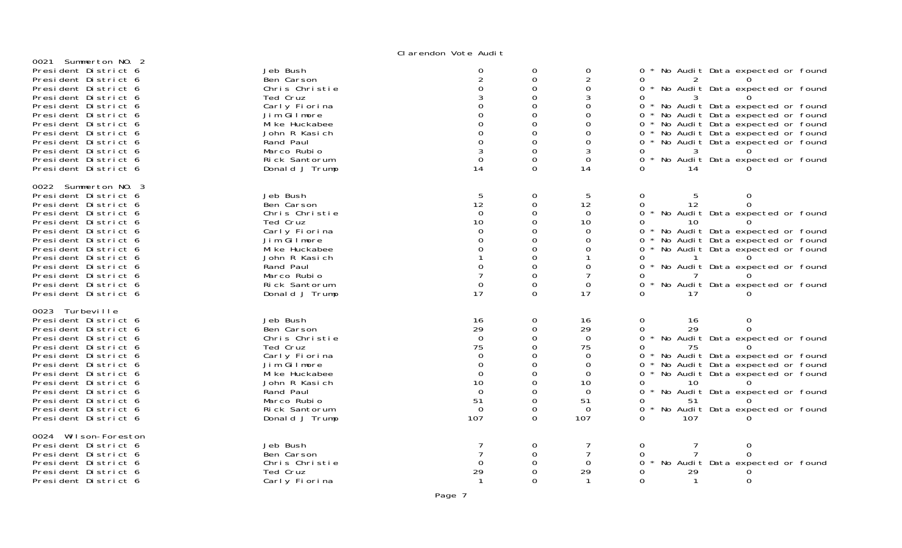| 0021 Summerton NO. 2                                                                                                                                                                                                                                                                                                 |                                                                                                                                                                                        |                                                                                                    |                                |                                                                                             |                                                                                                                                                                                                                                                                                                                                                          |
|----------------------------------------------------------------------------------------------------------------------------------------------------------------------------------------------------------------------------------------------------------------------------------------------------------------------|----------------------------------------------------------------------------------------------------------------------------------------------------------------------------------------|----------------------------------------------------------------------------------------------------|--------------------------------|---------------------------------------------------------------------------------------------|----------------------------------------------------------------------------------------------------------------------------------------------------------------------------------------------------------------------------------------------------------------------------------------------------------------------------------------------------------|
| President District 6<br>President District 6<br>President District 6<br>President District 6<br>President District 6<br>President District 6<br>President District 6<br>President District 6<br>President District 6<br>President District 6<br>President District 6<br>President District 6                         | Jeb Bush<br>Ben Carson<br>Chris Christie<br>Ted Cruz<br>Carly Fiorina<br>Jim Gilmore<br>Mi ke Huckabee<br>John R Kasich<br>Rand Paul<br>Marco Rubio<br>Rick Santorum<br>Donald J Trump | 0<br>$\Omega$<br>14                                                                                | 0<br>$\Omega$<br>∩             | 0<br>2<br>0<br>3<br>0<br>0<br>0<br>3<br>0<br>14                                             | * No Audit Data expected or found<br>0<br>* No Audit Data expected or found<br>$\Omega$<br>* No Audit Data expected or found<br>0<br>* No Audit Data expected or found<br>0<br>* No Audit Data expected or found<br>* No Audit Data expected or found<br>* No Audit Data expected or found<br>0<br>$\star$<br>No Audit Data expected or found<br>0<br>14 |
| 0022 Summerton NO. 3<br>President District 6<br>President District 6<br>President District 6<br>President District 6<br>President District 6<br>President District 6<br>President District 6<br>President District 6<br>President District 6<br>President District 6<br>President District 6<br>President District 6 | Jeb Bush<br>Ben Carson<br>Chris Christie<br>Ted Cruz<br>Carly Fiorina<br>Jim Gilmore<br>Mi ke Huckabee<br>John R Kasich<br>Rand Paul<br>Marco Rubio<br>Rick Santorum<br>Donald J Trump | 5<br>12<br>$\Omega$<br>10<br>0<br>17                                                               | 0<br>0<br>0<br>0<br>$\Omega$   | 5<br>12<br>$\overline{0}$<br>10<br>$\Omega$<br>0<br>0<br>$\Omega$<br>0<br>17                | 0<br>5<br>12<br>* No Audit Data expected or found<br>0<br>10<br>* No Audit Data expected or found<br>* No Audit Data expected or found<br>0<br>* No Audit Data expected or found<br>0<br>* No Audit Data expected or found<br>No Audit Data expected or found<br>$\Omega$<br>17                                                                          |
| 0023 Turbeville<br>President District 6<br>President District 6<br>President District 6<br>President District 6<br>President District 6<br>President District 6<br>President District 6<br>President District 6<br>President District 6<br>President District 6<br>President District 6<br>President District 6      | Jeb Bush<br>Ben Carson<br>Chris Christie<br>Ted Cruz<br>Carly Fiorina<br>Jim Gilmore<br>Mi ke Huckabee<br>John R Kasich<br>Rand Paul<br>Marco Rubio<br>Rick Santorum<br>Donald J Trump | 16<br>29<br>$\Omega$<br>75<br>$\Omega$<br>0<br>$\Omega$<br>10<br>$\Omega$<br>51<br>$\Omega$<br>107 | 0<br>0<br>$\Omega$<br>$\Omega$ | 16<br>29<br>$\Omega$<br>75<br>0<br>0<br>$\Omega$<br>10<br>$\Omega$<br>51<br>$\Omega$<br>107 | 0<br>16<br>29<br>$\Omega$<br>* No Audit Data expected or found<br>0<br>75<br>* No Audit Data expected or found<br>No Audit Data expected or found<br>No Audit Data expected or found<br>0<br>10<br>No Audit Data expected or found<br>51<br>∩.<br>$\star$<br>No Audit Data expected or found<br>107                                                      |
| 0024 Wilson-Foreston<br>President District 6<br>President District 6<br>President District 6<br>President District 6<br>President District 6                                                                                                                                                                         | Jeb Bush<br>Ben Carson<br>Chris Christie<br>Ted Cruz<br>Carly Fiorina                                                                                                                  | 29                                                                                                 | 0                              | 29                                                                                          | $\Omega$<br>0<br>No Audit Data expected or found<br>29<br>0<br>$\Omega$<br>$\mathbf{1}$                                                                                                                                                                                                                                                                  |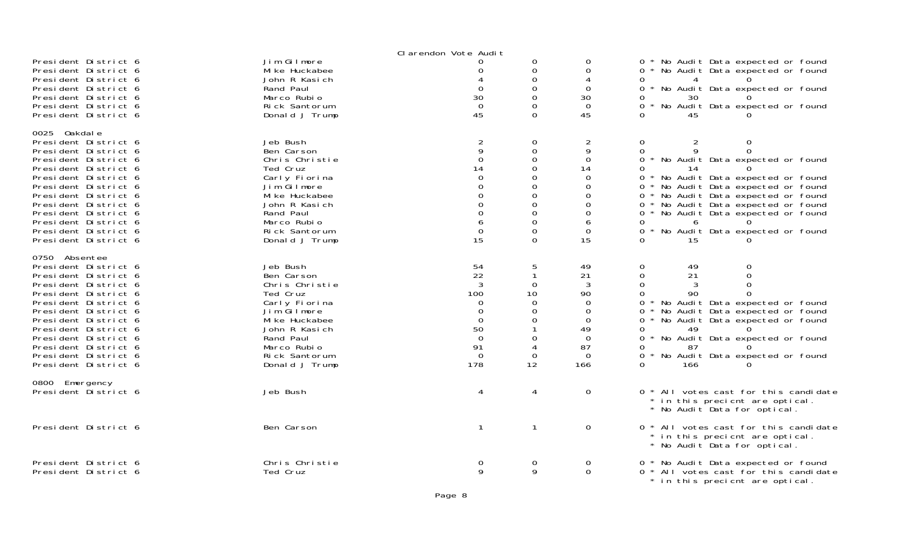|                                                                                                                                                                                                                                                                                                               |                                                                                                                                                                                        | Clarendon Vote Audit                                                                                                              |                                                                                                                                                                   |                                                                                                                                      |                                                                                                                                                                                                                                                                                                                                                                                                        |
|---------------------------------------------------------------------------------------------------------------------------------------------------------------------------------------------------------------------------------------------------------------------------------------------------------------|----------------------------------------------------------------------------------------------------------------------------------------------------------------------------------------|-----------------------------------------------------------------------------------------------------------------------------------|-------------------------------------------------------------------------------------------------------------------------------------------------------------------|--------------------------------------------------------------------------------------------------------------------------------------|--------------------------------------------------------------------------------------------------------------------------------------------------------------------------------------------------------------------------------------------------------------------------------------------------------------------------------------------------------------------------------------------------------|
| President District 6<br>President District 6<br>President District 6<br>President District 6<br>President District 6<br>President District 6<br>President District 6                                                                                                                                          | Jim Gilmore<br>Mi ke Huckabee<br>John R Kasich<br>Rand Paul<br>Marco Rubio<br>Rick Santorum<br>Donald J Trump                                                                          | 0<br>$\Omega$<br>30<br>$\Omega$<br>45                                                                                             | 0<br>$\Omega$<br>$\mathbf 0$<br>$\Omega$<br>$\mathbf 0$<br>$\Omega$<br>$\overline{0}$                                                                             | 0<br>$\Omega$<br>$\overline{4}$<br>$\Omega$<br>30<br>$\overline{0}$<br>45                                                            | No Audit Data expected or found<br>0<br>0<br>No Audit Data expected or found<br>0<br>$\Omega$<br>No Audit Data expected or found<br>30<br>0<br>No Audit Data expected or found<br>0<br>$\Omega$<br>45                                                                                                                                                                                                  |
| 0025 Oakdale<br>President District 6<br>President District 6<br>President District 6<br>President District 6<br>President District 6<br>President District 6<br>President District 6<br>President District 6<br>President District 6<br>President District 6<br>President District 6<br>President District 6  | Jeb Bush<br>Ben Carson<br>Chris Christie<br>Ted Cruz<br>Carly Fiorina<br>Jim Gilmore<br>Mi ke Huckabee<br>John R Kasich<br>Rand Paul<br>Marco Rubio<br>Rick Santorum<br>Donald J Trump | $\overline{a}$<br>9<br>$\Omega$<br>14<br>$\Omega$<br>$\mathbf 0$<br>$\Omega$<br>$\mathbf 0$<br>$\mathbf 0$<br>6<br>$\Omega$<br>15 | $\Omega$<br>$\mathbf 0$<br>$\Omega$<br>$\overline{0}$<br>$\Omega$<br>$\mathbf 0$<br>$\Omega$<br>$\mathbf 0$<br>$\Omega$<br>$\mathbf 0$<br>$\mathbf 0$<br>$\Omega$ | $\overline{2}$<br>9<br>$\overline{0}$<br>14<br>$\Omega$<br>$\Omega$<br>$\Omega$<br>$\mathbf 0$<br>$\Omega$<br>6<br>$\mathbf 0$<br>15 | 0<br>0<br>2<br>0<br>Q<br>$\Omega$<br>$\Omega$<br>* No Audit Data expected or found<br>0<br>14<br>No Audit Data expected or found<br>0<br>$\star$<br>No Audit Data expected or found<br>0<br>No Audit Data expected or found<br>0<br>No Audit Data expected or found<br>0<br>0<br>No Audit Data expected or found<br>0<br>6<br>$\Omega$<br>$\star$<br>No Audit Data expected or found<br>$\Omega$<br>15 |
| 0750 Absentee<br>President District 6<br>President District 6<br>President District 6<br>President District 6<br>President District 6<br>President District 6<br>President District 6<br>President District 6<br>President District 6<br>President District 6<br>President District 6<br>President District 6 | Jeb Bush<br>Ben Carson<br>Chris Christie<br>Ted Cruz<br>Carly Fiorina<br>Jim Gilmore<br>Mi ke Huckabee<br>John R Kasich<br>Rand Paul<br>Marco Rubio<br>Rick Santorum<br>Donald J Trump | 54<br>22<br>3<br>100<br>$\Omega$<br>$\Omega$<br>$\Omega$<br>50<br>$\Omega$<br>91<br>$\Omega$<br>178                               | 5<br>$\mathbf{1}$<br>$\Omega$<br>10<br>$\Omega$<br>$\mathbf 0$<br>$\Omega$<br>-1<br>$\Omega$<br>4<br>$\Omega$<br>12                                               | 49<br>21<br>3<br>90<br>$\Omega$<br>0<br>$\Omega$<br>49<br>$\Omega$<br>87<br>$\Omega$<br>166                                          | 49<br>0<br>0<br>0<br>21<br>$\Omega$<br>$\Omega$<br>3<br>90<br>0<br>0<br>No Audit Data expected or found<br>$\star$<br>No Audit Data expected or found<br>0<br>$\Omega$<br>No Audit Data expected or found<br>0<br>49<br>$\Omega$<br>No Audit Data expected or found<br>0<br>87<br>$\Omega$<br>No Audit Data expected or found<br>$\Omega$<br>166                                                       |
| 0800 Emergency<br>President District 6                                                                                                                                                                                                                                                                        | Jeb Bush                                                                                                                                                                               | 4                                                                                                                                 | 4                                                                                                                                                                 | 0                                                                                                                                    | 0 * All votes cast for this candidate<br>* in this precient are optical.<br>* No Audit Data for optical.                                                                                                                                                                                                                                                                                               |
| President District 6                                                                                                                                                                                                                                                                                          | Ben Carson                                                                                                                                                                             | 1                                                                                                                                 | $\mathbf{1}$                                                                                                                                                      | $\mathbf 0$                                                                                                                          | 0 * All votes cast for this candidate<br>* in this precient are optical.<br>* No Audit Data for optical.                                                                                                                                                                                                                                                                                               |
| President District 6<br>President District 6                                                                                                                                                                                                                                                                  | Chris Christie<br>Ted Cruz                                                                                                                                                             | 0<br>9                                                                                                                            | $\overline{0}$<br>9                                                                                                                                               | 0<br>$\Omega$                                                                                                                        | * No Audit Data expected or found<br>0<br>0 * All votes cast for this candidate<br>* in this precient are optical.                                                                                                                                                                                                                                                                                     |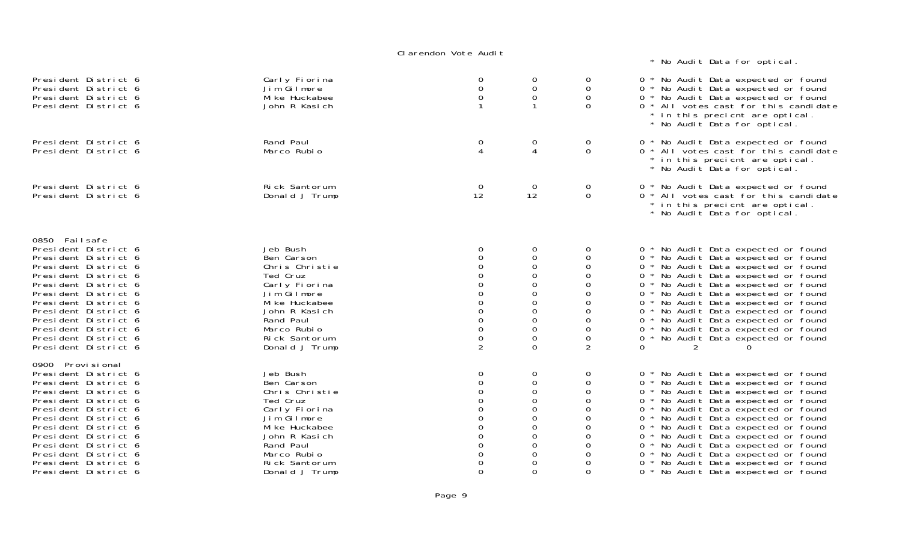\* No Audit Data for optical.

| President District 6<br>President District 6<br>President District 6<br>President District 6                                                                                                                                                                                                                       | Carly Fiorina<br>Jim Gilmore<br>Mi ke Huckabee<br>John R Kasich                                                                                                                        | $\mathbf 0$<br>0<br>0                                                                                                     | 0<br>0<br>0<br>1                                                                    | 0<br>0<br>0<br>$\Omega$                                         | 0 * No Audit Data expected or found<br>0 * No Audit Data expected or found<br>0 * No Audit Data expected or found<br>0 * All votes cast for this candidate<br>* in this precient are optical.<br>* No Audit Data for optical.                                                                                                                                                                                                                                                       |
|--------------------------------------------------------------------------------------------------------------------------------------------------------------------------------------------------------------------------------------------------------------------------------------------------------------------|----------------------------------------------------------------------------------------------------------------------------------------------------------------------------------------|---------------------------------------------------------------------------------------------------------------------------|-------------------------------------------------------------------------------------|-----------------------------------------------------------------|-------------------------------------------------------------------------------------------------------------------------------------------------------------------------------------------------------------------------------------------------------------------------------------------------------------------------------------------------------------------------------------------------------------------------------------------------------------------------------------|
| President District 6<br>President District 6                                                                                                                                                                                                                                                                       | Rand Paul<br>Marco Rubio                                                                                                                                                               | 0<br>$\boldsymbol{\varDelta}$                                                                                             | 0<br>4                                                                              | 0<br>$\Omega$                                                   | 0 * No Audit Data expected or found<br>0 * All votes cast for this candidate<br>* in this precient are optical.<br>* No Audit Data for optical.                                                                                                                                                                                                                                                                                                                                     |
| President District 6<br>President District 6                                                                                                                                                                                                                                                                       | Rick Santorum<br>Donald J Trump                                                                                                                                                        | $\overline{0}$<br>12                                                                                                      | $\overline{0}$<br>12                                                                | 0<br>$\mathbf 0$                                                | 0 * No Audit Data expected or found<br>0 * All votes cast for this candidate<br>* in this precient are optical.<br>* No Audit Data for optical.                                                                                                                                                                                                                                                                                                                                     |
| 0850 Failsafe<br>President District 6<br>President District 6<br>President District 6<br>President District 6<br>President District 6<br>President District 6<br>President District 6<br>President District 6<br>President District 6<br>President District 6<br>President District 6<br>President District 6      | Jeb Bush<br>Ben Carson<br>Chris Christie<br>Ted Cruz<br>Carly Fiorina<br>Jim Gilmore<br>Mi ke Huckabee<br>John R Kasich<br>Rand Paul<br>Marco Rubio<br>Rick Santorum<br>Donald J Trump | 0<br>$\Omega$<br>$\Omega$<br>$\Omega$<br>$\mathbf 0$<br>$\overline{O}$<br>$\mathsf{O}\xspace$<br>$\mathsf{O}\xspace$<br>2 | 0<br>0<br>0<br>0<br>0<br>0<br>0<br>0<br>$\mathbf 0$<br>0<br>$\mathsf 0$<br>$\Omega$ | 0<br>0<br>0<br>0<br>0<br>0<br>$\Omega$<br>0<br>0<br>0<br>0<br>2 | 0 * No Audit Data expected or found<br>0 * No Audit Data expected or found<br>0 * No Audit Data expected or found<br>0 * No Audit Data expected or found<br>0 * No Audit Data expected or found<br>0 * No Audit Data expected or found<br>0 * No Audit Data expected or found<br>0 * No Audit Data expected or found<br>0 * No Audit Data expected or found<br>0 * No Audit Data expected or found<br>$\overline{O}$<br>* No Audit Data expected or found<br>0                      |
| 0900 Provi si onal<br>President District 6<br>President District 6<br>President District 6<br>President District 6<br>President District 6<br>President District 6<br>President District 6<br>President District 6<br>President District 6<br>President District 6<br>President District 6<br>President District 6 | Jeb Bush<br>Ben Carson<br>Chris Christie<br>Ted Cruz<br>Carly Fiorina<br>Jim Gilmore<br>Mi ke Huckabee<br>John R Kasich<br>Rand Paul<br>Marco Rubio<br>Rick Santorum<br>Donald J Trump | 0<br>$\Omega$<br>$\Omega$<br>$\Omega$<br>$\Omega$<br>0<br>$\Omega$<br>$\Omega$                                            | 0<br>0<br>0<br>0<br>0<br>0<br>0<br>0<br>0<br>0<br>0<br>$\Omega$                     | 0<br>0<br>0<br>0<br>0<br>0<br>0<br>0<br>0<br>0<br>0<br>$\Omega$ | 0 * No Audit Data expected or found<br>0 * No Audit Data expected or found<br>0 * No Audit Data expected or found<br>0 * No Audit Data expected or found<br>0 * No Audit Data expected or found<br>0 * No Audit Data expected or found<br>0 * No Audit Data expected or found<br>0 * No Audit Data expected or found<br>0 * No Audit Data expected or found<br>0 * No Audit Data expected or found<br>* No Audit Data expected or found<br>0<br>0 * No Audit Data expected or found |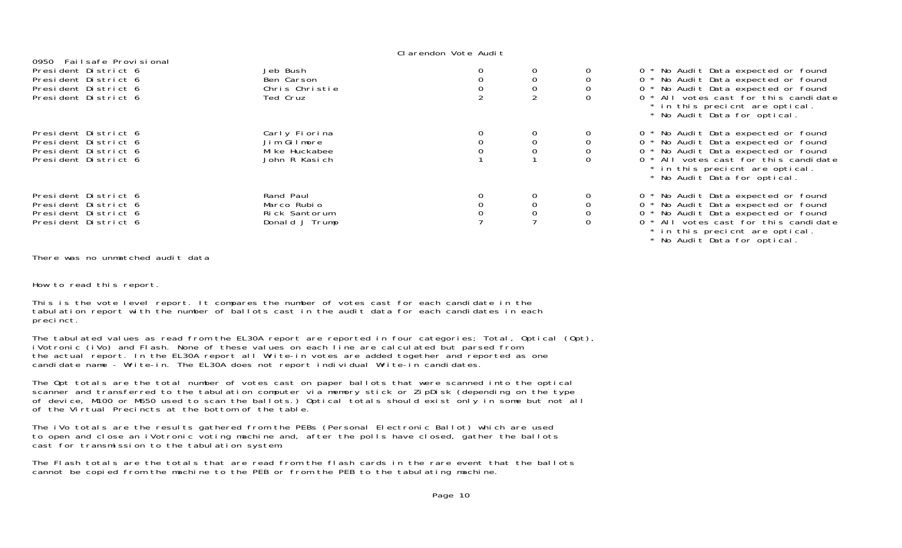| 0950 Failsafe Provisional |                |  |                                                                                                          |
|---------------------------|----------------|--|----------------------------------------------------------------------------------------------------------|
| President District 6      | Jeb Bush       |  | 0 * No Audit Data expected or found                                                                      |
| President District 6      | Ben Carson     |  | 0 * No Audit Data expected or found                                                                      |
| President District 6      | Chris Christie |  | 0 * No Audit Data expected or found                                                                      |
| President District 6      | Ted Cruz       |  | 0 * All votes cast for this candidate<br>* in this precient are optical.<br>* No Audit Data for optical. |
| President District 6      | Carly Fiorina  |  | 0 * No Audit Data expected or found                                                                      |
| President District 6      | Jim Gilmore    |  | $0 *$<br>No Audit Data expected or found                                                                 |
| President District 6      | Mi ke Huckabee |  | 0 * No Audit Data expected or found                                                                      |
| President District 6      | John R Kasich  |  | 0 * All votes cast for this candidate<br>* in this precient are optical.<br>* No Audit Data for optical. |
| President District 6      | Rand Paul      |  | 0 * No Audit Data expected or found                                                                      |
| President District 6      | Marco Rubio    |  | 0 * No Audit Data expected or found                                                                      |
| President District 6      | Rick Santorum  |  | 0 * No Audit Data expected or found                                                                      |
| President District 6      | Donald J Trump |  | 0 * All votes cast for this candidate<br>* in this precient are optical.                                 |

\* No Audit Data for optical.

There was no unmatched audit data

How to read this report.

This is the vote level report. It compares the number of votes cast for each candidate in the tabulation report with the number of ballots cast in the audit data for each candidates in each precinct.

The tabulated values as read from the EL30A report are reported in four categories; Total, Optical (Opt), iVotronic (iVo) and Flash. None of these values on each line are calculated but parsed from the actual report. In the EL30A report all Write-in votes are added together and reported as one candidate name - Write-in. The EL30A does not report individual Write-in candidates.

The Opt totals are the total number of votes cast on paper ballots that were scanned into the optical<br>scanner and transferred to the tabulation computer via memory stick or ZipDisk (depending on the type of device, M100 or M650 used to scan the ballots.) Optical totals should exist only in some but not all of the Virtual Precincts at the bottom of the table.

The iVo totals are the results gathered from the PEBs (Personal Electronic Ballot) which are used to open and close an iVotronic voting machine and, after the polls have closed, gather the ballots cast for transmission to the tabulation system.

The Flash totals are the totals that are read from the flash cards in the rare event that the ballotscannot be copied from the machine to the PEB or from the PEB to the tabulating machine.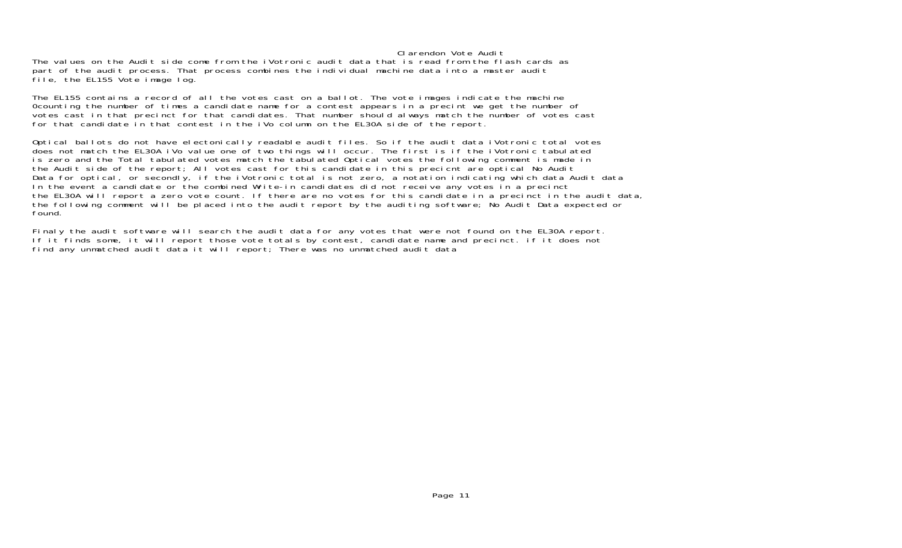The values on the Audit side come from the iVotronic audit data that is read from the flash cards as part of the audit process. That process combines the individual machine data into a master audit file, the EL155 Vote image log.

The EL155 contains a record of all the votes cast on a ballot. The vote images indicate the machine 0counting the number of times a candidate name for a contest appears in a precint we get the number of votes cast in that precinct for that candidates. That number should always match the number of votes cast for that candidate in that contest in the iVo column on the EL30A side of the report.

Optical ballots do not have electonically readable audit files. So if the audit data iVotronic total votes does not match the EL30A iVo value one of two things will occur. The first is if the iVotronic tabulated is zero and the Total tabulated votes match the tabulated Optical votes the following comment is made in the Audit side of the report; All votes cast for this candidate in this precient are optical No Audit Data for optical, or secondly, if the iVotronic total is not zero, a notation indicating which data Audit data In the event a candidate or the combined Write-in candidates did not receive any votes in a precinct the EL30A will report a zero vote count. If there are no votes for this candidate in a precinct in the audit data, the following comment will be placed into the audit report by the auditing software; No Audit Data expected or found.

Finaly the audit software will search the audit data for any votes that were not found on the EL30A report. If it finds some, it will report those vote totals by contest, candidate name and precinct. if it does not find any unmatched audit data it will report; There was no unmatched audit data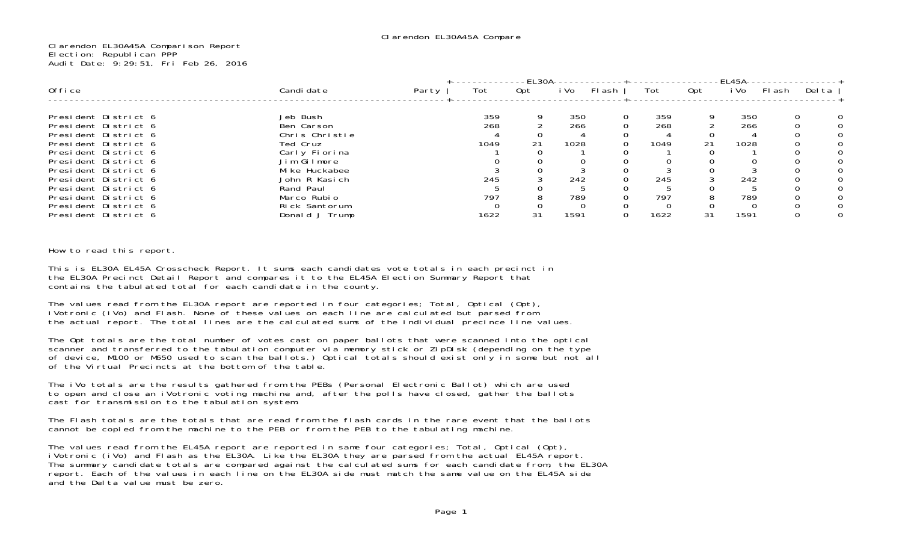Clarendon EL30A45A Comparison Report Election: Republican PPP Audit Date: 9:29:51, Fri Feb 26, 2016

|                                              |                              |       |      | -FI 30A- |      |        |      |     | -FI 45A- |          |        |   |
|----------------------------------------------|------------------------------|-------|------|----------|------|--------|------|-----|----------|----------|--------|---|
| 0ffice                                       | Candi date                   | Party | Tot  | Opt      | i Vo | FI ash | Tot  | 0pt | i Vo     | Flash    | Del ta |   |
| President District 6                         | Jeb Bush                     |       | 359  | Q        | 350  | 0      | 359  |     | 350      | $\Omega$ |        | 0 |
| President District 6<br>President District 6 | Ben Carson<br>Chris Christie |       | 268  |          | 266  |        | 268  |     | 266      |          |        |   |
| President District 6<br>President District 6 | Ted Cruz<br>Carly Fiorina    |       | 1049 |          | 1028 |        | 1049 |     | 1028     |          |        |   |
| President District 6<br>President District 6 | Jim Gilmore<br>Mike Huckabee |       |      |          |      |        |      |     |          |          |        |   |
| President District 6<br>President District 6 | John R Kasich<br>Rand Paul   |       | 245  |          | 242  |        | 245  |     | 242      |          |        |   |
| President District 6<br>President District 6 | Marco Rubio<br>Rick Santorum |       | 797  |          | 789  |        | 797  |     | 789      |          |        |   |
| President District 6                         | Donald J Trump               |       | 1622 | 31       | 1591 |        | 1622 | 31  | 1591     |          |        |   |

How to read this report.

This is EL30A EL45A Crosscheck Report. It sums each candidates vote totals in each precinct in the EL30A Precinct Detail Report and compares it to the EL45A Election Summary Report that contains the tabulated total for each candidate in the county.

The values read from the EL30A report are reported in four categories; Total, Optical (Opt), iVotronic (iVo) and Flash. None of these values on each line are calculated but parsed from the actual report. The total lines are the calculated sums of the individual precince line values.

The Opt totals are the total number of votes cast on paper ballots that were scanned into the optical scanner and transferred to the tabulation computer via memory stick or ZipDisk (depending on the type of device, M100 or M650 used to scan the ballots.) Optical totals should exist only in some but not all of the Virtual Precincts at the bottom of the table.

The iVo totals are the results gathered from the PEBs (Personal Electronic Ballot) which are used to open and close an iVotronic voting machine and, after the polls have closed, gather the ballots cast for transmission to the tabulation system.

The Flash totals are the totals that are read from the flash cards in the rare event that the ballots cannot be copied from the machine to the PEB or from the PEB to the tabulating machine.

The values read from the EL45A report are reported in same four categories; Total, Optical (Opt),<br>iVotronic (iVo) and Flash as the EL30A. Like the EL30A they are parsed from the actual EL45A report. The summary candidate totals are compared against the calculated sums for each candidate from, the EL30A report. Each of the values in each line on the EL30A side must match the same value on the EL45A side and the Delta value must be zero.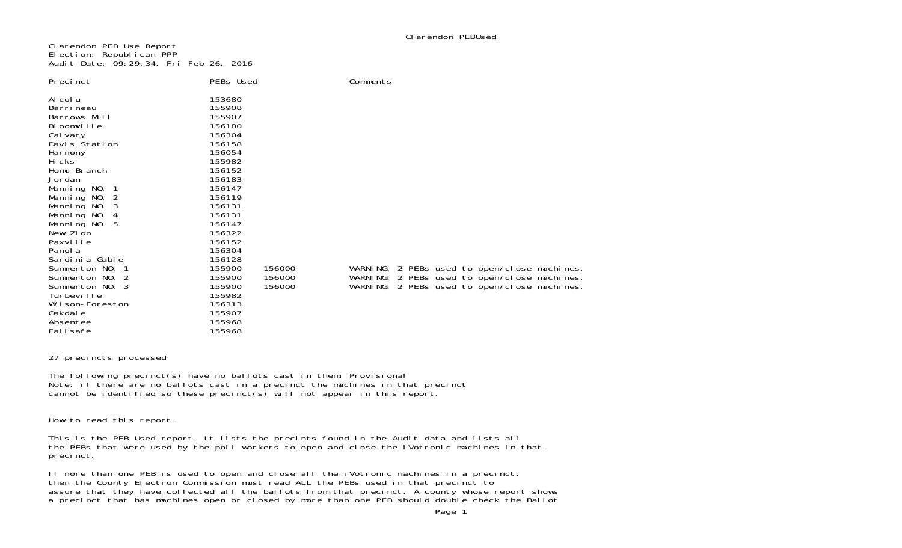Clarendon PEB Use Report Election: Republican PPP Audit Date: 09:29:34, Fri Feb 26, 2016

| Precinct                                                                                                                                                                                               | PEBs Used                                                                                                                                |                            | Comments |  |                                                                                                                                           |  |
|--------------------------------------------------------------------------------------------------------------------------------------------------------------------------------------------------------|------------------------------------------------------------------------------------------------------------------------------------------|----------------------------|----------|--|-------------------------------------------------------------------------------------------------------------------------------------------|--|
| Al col u<br>Barri neau<br>Barrows Mill<br>Bloomville<br>Cal vary<br>Davis Station<br>Harmony<br>Hi cks<br>Home Branch<br>Jordan<br>Manning No. 1<br>Manning NO. 2<br>Manning NO.<br>Manning NO.<br>- 4 | 153680<br>155908<br>155907<br>156180<br>156304<br>156158<br>156054<br>155982<br>156152<br>156183<br>156147<br>156119<br>156131<br>156131 |                            |          |  |                                                                                                                                           |  |
| Manning NO. 5<br>New Zion<br>Paxville<br>Panol a<br>Sardi ni a-Gabl e<br>Summerton NO. 1<br>Summerton NO. 2<br>Summerton NO. 3<br>Turbeville<br>Wilson-Foreston<br>0akdal e<br>Absentee<br>Failsafe    | 156147<br>156322<br>156152<br>156304<br>156128<br>155900<br>155900<br>155900<br>155982<br>156313<br>155907<br>155968<br>155968           | 156000<br>156000<br>156000 |          |  | WARNING: 2 PEBs used to open/close machines<br>WARNING: 2 PEBs used to open/close machines<br>WARNING: 2 PEBs used to open/close machines |  |

### 27 precincts processed

The following precinct(s) have no ballots cast in them: Provisional Note: if there are no ballots cast in a precinct the machines in that precinct cannot be identified so these precinct(s) will not appear in this report.

How to read this report.

This is the PEB Used report. It lists the precints found in the Audit data and lists all the PEBs that were used by the poll workers to open and close the iVotronic machines in that. precinct.

If more than one PEB is used to open and close all the iVotronic machines in a precinct, then the County Election Commission must read ALL the PEBs used in that precinct to assure that they have collected all the ballots from that precinct. A county whose report shows a precinct that has machines open or closed by more than one PEB should double check the Ballot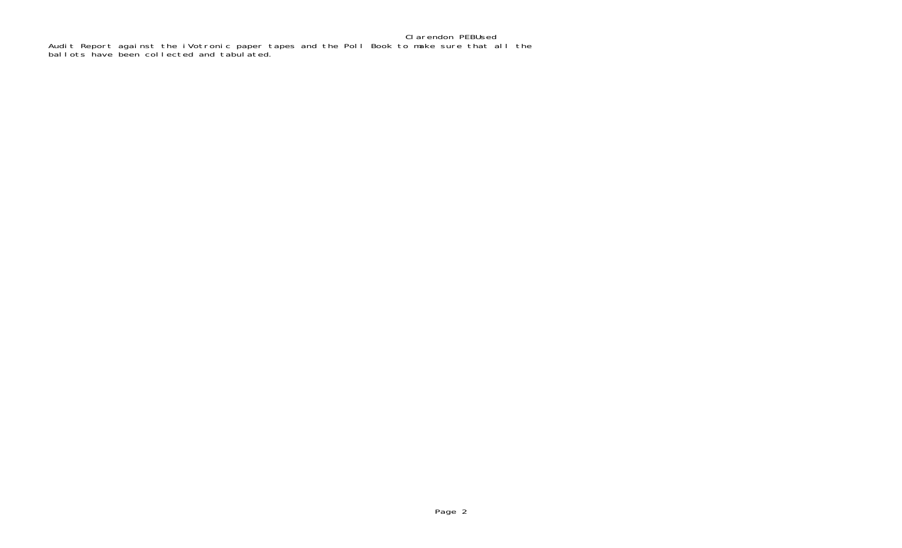Clarendon PEBUsed Audit Report against the iVotronic paper tapes and the Poll Book to make sure that all the ballots have been collected and tabulated.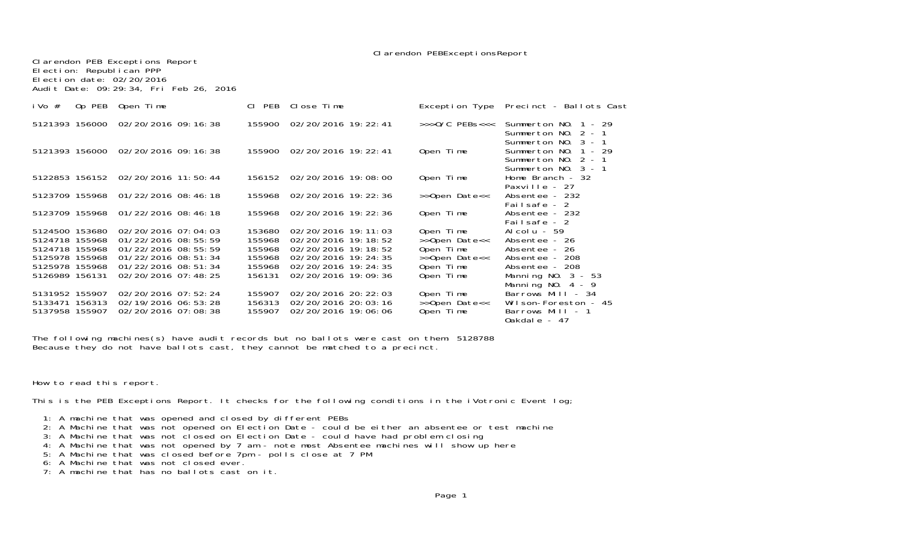Clarendon PEB Exceptions Report Election: Republican PPP Election date: 02/20/2016Audit Date: 09:29:34, Fri Feb 26, 2016

| Op PEB<br>i Vo $#$                                                                                       | Open Time                                                                                                                                  | CI PEB                                                   | Close Time                                                                                                                                 | Exception Type                                                                     | Precinct - Ballots Cast                                                                                                          |
|----------------------------------------------------------------------------------------------------------|--------------------------------------------------------------------------------------------------------------------------------------------|----------------------------------------------------------|--------------------------------------------------------------------------------------------------------------------------------------------|------------------------------------------------------------------------------------|----------------------------------------------------------------------------------------------------------------------------------|
|                                                                                                          | 5121393 156000 02/20/2016 09:16:38                                                                                                         |                                                          | 155900 02/20/2016 19: 22: 41                                                                                                               | $>>$ $0/C$ PEBs $<<$                                                               | Summerton $NO. 1 - 29$<br>Summerton NO. 2 - 1                                                                                    |
|                                                                                                          | 5121393 156000 02/20/2016 09:16:38                                                                                                         | 155900                                                   | 02/20/2016 19: 22: 41                                                                                                                      | Open Time                                                                          | Summerton NO. 3 - 1<br>Summerton NO. 1 - 29<br>Summerton NO. 2 - 1<br>Summerton $NO. 3 - 1$                                      |
|                                                                                                          | 5122853 156152 02/20/2016 11:50:44                                                                                                         |                                                          | 156152 02/20/2016 19:08:00                                                                                                                 | Open Time                                                                          | Home Branch - 32<br>Paxville - 27                                                                                                |
|                                                                                                          | 5123709 155968 01/22/2016 08:46:18                                                                                                         |                                                          | 155968 02/20/2016 19:22:36                                                                                                                 | >>Open Date<<                                                                      | Absentee - 232<br>Failsafe - 2                                                                                                   |
|                                                                                                          | 5123709 155968 01/22/2016 08:46:18                                                                                                         | 155968                                                   | 02/20/2016 19: 22: 36                                                                                                                      | Open Time                                                                          | Absentee - 232<br>Failsafe - 2                                                                                                   |
| 5124500 153680<br>5124718 155968<br>5124718 155968<br>5125978 155968<br>5125978 155968<br>5126989 156131 | 02/20/2016 07:04:03<br>01/22/2016 08:55:59<br>01/22/2016 08:55:59<br>01/22/2016 08:51:34<br>$01/22/2016$ 08: 51: 34<br>02/20/2016 07:48:25 | 153680<br>155968<br>155968<br>155968<br>155968<br>156131 | 02/20/2016 19:11:03<br>02/20/2016 19:18:52<br>02/20/2016 19:18:52<br>02/20/2016 19: 24: 35<br>02/20/2016 19: 24: 35<br>02/20/2016 19:09:36 | Open Time<br>>>Open Date<<<br>Open Time<br>>>Open Date<<<br>Open Time<br>Open Time | Alcolu - 59<br>Absentee - 26<br>Absentee - 26<br>Absentee - 208<br>Absentee - 208<br>Manning NO. $3 - 53$<br>Manning NO. $4 - 9$ |
| 5131952 155907<br>5133471 156313<br>5137958 155907                                                       | 02/20/2016 07:52:24<br>02/19/2016 06: 53: 28<br>02/20/2016 07:08:38                                                                        | 155907<br>156313<br>155907                               | 02/20/2016 20: 22: 03<br>02/20/2016 20: 03: 16<br>02/20/2016 19:06:06                                                                      | Open Time<br>>>Open Date<<<br>Open Time                                            | Barrows Mill - 34<br>Wilson-Foreston - 45<br>Barrows Mill - 1<br>0akdale - 47                                                    |

The following machines(s) have audit records but no ballots were cast on them: 5128788 Because they do not have ballots cast, they cannot be matched to a precinct.

How to read this report.

This is the PEB Exceptions Report. It checks for the following conditions in the iVotronic Event log;

1: A machine that was opened and closed by different PEBs

- 2: A Machine that was not opened on Election Date could be either an absentee or test machine
- 3: A Machine that was not closed on Election Date could have had problem closing
- 4: A Machine that was not opened by 7 am note most Absentee machines will show up here
- 5: A Machine that was closed before 7pm polls close at 7 PM 6: A Machine that was not closed ever.
	-
- 7: A machine that has no ballots cast on it.